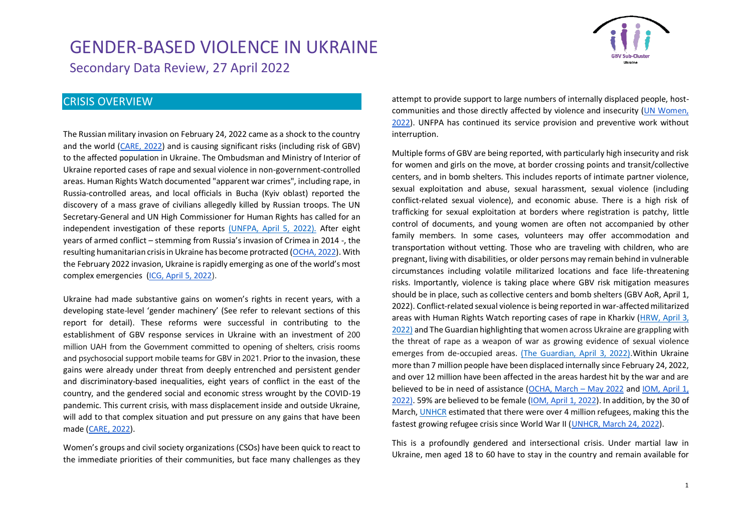

#### CRISIS OVERVIEW

The Russian military invasion on February 24, 2022 came as a shock to the country and the world [\(CARE, 2022\)](https://www.careevaluations.org/wp-content/uploads/Ukraine-Rapid-Gender-Analysis-Brief-Final.pdf) and is causing significant risks (including risk of GBV) to the affected population in Ukraine. The Ombudsman and Ministry of Interior of Ukraine reported cases of rape and sexual violence in non-government-controlled areas. Human Rights Watch documented "apparent war crimes", including rape, in Russia-controlled areas, and local officials in Bucha (Kyiv oblast) reported the discovery of a mass grave of civilians allegedly killed by Russian troops. The UN Secretary-General and UN High Commissioner for Human Rights has called for an independent investigation of these reports [\(UNFPA, April 5, 2022\).](https://reliefweb.int/report/ukraine/ukraine-emergency-situation-report-6-5-april-2022) After eight years of armed conflict – stemming from Russia's invasion of Crimea in 2014 -, the resulting humanitarian crisis in Ukraine has become protracted [\(OCHA, 2022\)](https://reliefweb.int/report/ukraine/ukraine-humanitarian-needs-overview-2022-february-2022-enuk). With the February 2022 invasion, Ukraine is rapidly emerging as one of the world's most complex emergencies [\(ICG, April 5, 2022\)](https://reliefweb.int/report/world/war-ukraine-raises-new-questions-eu-foreign-policy).

Ukraine had made substantive gains on women's rights in recent years, with a developing state-level 'gender machinery' (See refer to relevant sections of this report for detail). These reforms were successful in contributing to the establishment of GBV response services in Ukraine with an investment of 200 million UAH from the Government committed to opening of shelters, crisis rooms and psychosocial support mobile teams for GBV in 2021. Prior to the invasion, these gains were already under threat from deeply entrenched and persistent gender and discriminatory-based inequalities, eight years of conflict in the east of the country, and the gendered social and economic stress wrought by the COVID-19 pandemic. This current crisis, with mass displacement inside and outside Ukraine, will add to that complex situation and put pressure on any gains that have been made [\(CARE, 2022\)](https://www.careevaluations.org/wp-content/uploads/Ukraine-Rapid-Gender-Analysis-Brief-Final.pdf).

Women's groups and civil society organizations (CSOs) have been quick to react to the immediate priorities of their communities, but face many challenges as they attempt to provide support to large numbers of internally displaced people, hostcommunities and those directly affected by violence and insecurity [\(UN Women,](https://reliefweb.int/sites/reliefweb.int/files/resources/03_2022_un_women_rapid_assessment_womens_csos_eng.pdf)  [2022\)](https://reliefweb.int/sites/reliefweb.int/files/resources/03_2022_un_women_rapid_assessment_womens_csos_eng.pdf). UNFPA has continued its service provision and preventive work without interruption.

Multiple forms of GBV are being reported, with particularly high insecurity and risk for women and girls on the move, at border crossing points and transit/collective centers, and in bomb shelters. This includes reports of intimate partner violence, sexual exploitation and abuse, sexual harassment, sexual violence (including conflict-related sexual violence), and economic abuse. There is a high risk of trafficking for sexual exploitation at borders where registration is patchy, little control of documents, and young women are often not accompanied by other family members. In some cases, volunteers may offer accommodation and transportation without vetting. Those who are traveling with children, who are pregnant, living with disabilities, or older persons may remain behind in vulnerable circumstances including volatile militarized locations and face life-threatening risks. Importantly, violence is taking place where GBV risk mitigation measures should be in place, such as collective centers and bomb shelters (GBV AoR, April 1, 2022). Conflict-related sexual violence is being reported in war-affected militarized areas with Human Rights Watch reporting cases of rape in Kharkiv [\(HRW, April 3,](https://www.hrw.org/news/2022/04/03/ukraine-apparent-war-crimes-russia-controlled-areas)  [2022\)](https://www.hrw.org/news/2022/04/03/ukraine-apparent-war-crimes-russia-controlled-areas) and The Guardian highlighting that women across Ukraine are grappling with the threat of rape as a weapon of war as growing evidence of sexual violence emerges from de-occupied areas. [\(The Guardian, April 3, 2022\).](https://www.theguardian.com/world/2022/apr/03/all-wars-are-like-this-used-as-a-weapon-of-war-in-ukraine)Within Ukraine more than 7 million people have been displaced internally since February 24, 2022, and over 12 million have been affected in the areas hardest hit by the war and are believed to be in need of assistance [\(OCHA, March](https://reliefweb.int/sites/reliefweb.int/files/resources/Ukraine%20Flash%20Appeal%202022.pdf) – May 2022 and [IOM, April 1,](https://displacement.iom.int/sites/default/files/public/reports/IOM_Ukraine%20Displacement%20Report_Round%202.pdf)  [2022\)](https://displacement.iom.int/sites/default/files/public/reports/IOM_Ukraine%20Displacement%20Report_Round%202.pdf). 59% are believed to be female [\(IOM, April 1, 2022\)](https://displacement.iom.int/sites/default/files/public/reports/IOM_Ukraine%20Displacement%20Report_Round%202.pdf). In addition, by the 30 of March, [UNHCR](https://data2.unhcr.org/en/situations/ukraine) estimated that there were over 4 million refugees, making this the fastest growing refugee crisis since World War II [\(UNHCR, March 24, 2022\)](https://data2.unhcr.org/en/documents/details/91589).

This is a profoundly gendered and intersectional crisis. Under martial law in Ukraine, men aged 18 to 60 have to stay in the country and remain available for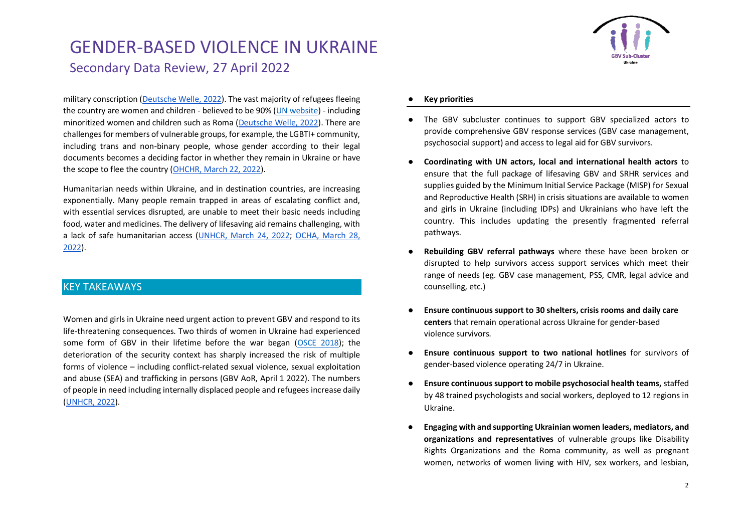military conscription [\(Deutsche Welle, 2022\)](https://www.dw.com/en/ukraines-roma-activists-at-work-for-their-community/a-61032799). The vast majority of refugees fleeing the country are women and children - believed to be 90% [\(UN website\)](https://www.unodc.org/unodc/press/releases/2022/March/targeted-by-traffickers---ukrainian-refugees-at-high-risk-of-exploitation.html) - including minoritized women and children such as Roma [\(Deutsche Welle, 2022\)](https://www.dw.com/en/ukraines-roma-activists-at-work-for-their-community/a-61032799). There are challenges for members of vulnerable groups, for example, the LGBTI+ community, including trans and non-binary people, whose gender according to their legal documents becomes a deciding factor in whether they remain in Ukraine or have the scope to flee the country [\(OHCHR, March 22, 2022\)](https://www.ohchr.org/en/press-releases/2022/03/ukraine-protection-lgbti-and-gender-diverse-refugees-remains-critical-un).

Humanitarian needs within Ukraine, and in destination countries, are increasing exponentially. Many people remain trapped in areas of escalating conflict and, with essential services disrupted, are unable to meet their basic needs including food, water and medicines. The delivery of lifesaving aid remains challenging, with a lack of safe humanitarian access [\(UNHCR, March 24, 2022;](https://data2.unhcr.org/en/documents/details/91589) [OCHA, March 28,](https://reliefweb.int/report/ukraine/ukraine-humanitarian-impact-situation-report-1200-pm-eet-28-march-2022)  [2022\)](https://reliefweb.int/report/ukraine/ukraine-humanitarian-impact-situation-report-1200-pm-eet-28-march-2022).

#### KEY TAKEAWAYS

Women and girls in Ukraine need urgent action to prevent GBV and respond to its life-threatening consequences. Two thirds of women in Ukraine had experienced some form of GBV in their lifetime before the war began [\(OSCE 2018\)](https://www.osce.org/secretariat/440312); the deterioration of the security context has sharply increased the risk of multiple forms of violence – including conflict-related sexual violence, sexual exploitation and abuse (SEA) and trafficking in persons (GBV AoR, April 1 2022). The numbers of people in need including internally displaced people and refugees increase daily [\(UNHCR, 2022\)](https://www.unhcr.org/uk/news/briefing/2022/3/623453f14/unhcr-warns-rising-needs-ukraine-neighbouring-countries-calls-cessation.html).



#### **Key priorities**

- The GBV subcluster continues to support GBV specialized actors to provide comprehensive GBV response services (GBV case management, psychosocial support) and access to legal aid for GBV survivors.
- **Coordinating with UN actors, local and international health actors** to ensure that the full package of lifesaving GBV and SRHR services and supplies guided by the Minimum Initial Service Package (MISP) for Sexual and Reproductive Health (SRH) in crisis situations are available to women and girls in Ukraine (including IDPs) and Ukrainians who have left the country. This includes updating the presently fragmented referral pathways.
- **Rebuilding GBV referral pathways** where these have been broken or disrupted to help survivors access support services which meet their range of needs (eg. GBV case management, PSS, CMR, legal advice and counselling, etc.)
- **Ensure continuous support to 30 shelters, crisis rooms and daily care centers** that remain operational across Ukraine for gender-based violence survivors.
- **Ensure continuous support to two national hotlines** for survivors of gender-based violence operating 24/7 in Ukraine.
- **Ensure continuous support to mobile psychosocial health teams,** staffed by 48 trained psychologists and social workers, deployed to 12 regions in Ukraine.
- **Engaging with and supporting Ukrainian women leaders, mediators, and organizations and representatives** of vulnerable groups like Disability Rights Organizations and the Roma community, as well as pregnant women, networks of women living with HIV, sex workers, and lesbian,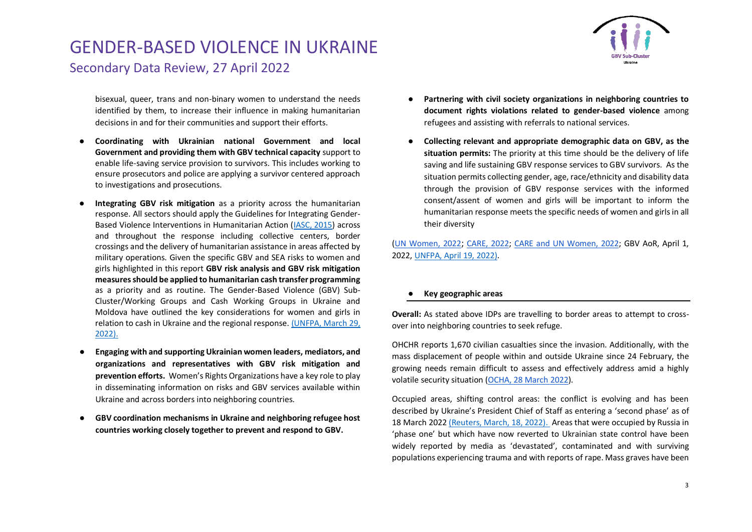

bisexual, queer, trans and non-binary women to understand the needs identified by them, to increase their influence in making humanitarian decisions in and for their communities and support their efforts.

- **Coordinating with Ukrainian national Government and local Government and providing them with GBV technical capacity** support to enable life-saving service provision to survivors. This includes working to ensure prosecutors and police are applying a survivor centered approach to investigations and prosecutions.
- **Integrating GBV risk mitigation** as a priority across the humanitarian response. All sectors should apply the Guidelines for Integrating Gender-Based Violence Interventions in Humanitarian Action [\(IASC, 2015\)](https://gbvguidelines.org/en/) across and throughout the response including collective centers, border crossings and the delivery of humanitarian assistance in areas affected by military operations. Given the specific GBV and SEA risks to women and girls highlighted in this report **GBV risk analysis and GBV risk mitigation measures should be applied to humanitarian cash transfer programming** as a priority and as routine. The Gender-Based Violence (GBV) Sub-Cluster/Working Groups and Cash Working Groups in Ukraine and Moldova have outlined the key considerations for women and girls in relation to cash in Ukraine and the regional response. [\(UNFPA,](https://www.calpnetwork.org/publication/gbv-considerations-for-women-and-girls-cash-in-ukraine-and-the-regional-refugee-response-unfpa-2022/) March 29, [2022\).](https://www.calpnetwork.org/publication/gbv-considerations-for-women-and-girls-cash-in-ukraine-and-the-regional-refugee-response-unfpa-2022/)
- **Engaging with and supporting Ukrainian women leaders, mediators, and organizations and representatives with GBV risk mitigation and prevention efforts.** Women's Rights Organizations have a key role to play in disseminating information on risks and GBV services available within Ukraine and across borders into neighboring countries.
- **GBV coordination mechanisms in Ukraine and neighboring refugee host countries working closely together to prevent and respond to GBV.**
- Partnering with civil society organizations in neighboring countries to **document rights violations related to gender-based violence** among refugees and assisting with referrals to national services.
- **Collecting relevant and appropriate demographic data on GBV, as the situation permits:** The priority at this time should be the delivery of life saving and life sustaining GBV response services to GBV survivors. As the situation permits collecting gender, age, race/ethnicity and disability data through the provision of GBV response services with the informed consent/assent of women and girls will be important to inform the humanitarian response meets the specific needs of women and girls in all their diversity

[\(UN Women, 2022](https://reliefweb.int/sites/reliefweb.int/files/resources/03_2022_un_women_rapid_assessment_womens_csos_eng.pdf); [CARE, 2022;](https://www.careevaluations.org/wp-content/uploads/Ukraine-Rapid-Gender-Analysis-Brief-Final.pdf) [CARE and UN Women, 2022;](https://eca.unwomen.org/en/digital-library/publications/2022/03/rapid-gender-analysis-of-ukraine-secondary-data-review#view) GBV AoR, April 1, 2022, UNFPA, [April 19, 2022\).](https://www.unfpa.org/sites/default/files/news-pdf/Snapshot%20-%20UNFPA%20response%20in%20Ukraine.pdf)

#### ● **Key geographic areas**

**Overall:** As stated above IDPs are travelling to border areas to attempt to crossover into neighboring countries to seek refuge.

OHCHR reports 1,670 civilian casualties since the invasion. Additionally, with the mass displacement of people within and outside Ukraine since 24 February, the growing needs remain difficult to assess and effectively address amid a highly volatile security situation [\(OCHA, 28 March 2022\)](https://reliefweb.int/report/ukraine/ukraine-humanitarian-impact-situation-report-1200-pm-eet-28-march-2022).

Occupied areas, shifting control areas: the conflict is evolving and has been described by Ukraine's President Chief of Staff as entering a 'second phase' as of 18 March 202[2 \(Reuters, March, 18, 2022\). A](https://www.reuters.com/world/europe/second-phase-war-has-started-says-ukraine-presidents-chief-staff-2022-04-18/)reas that were occupied by Russia in 'phase one' but which have now reverted to Ukrainian state control have been widely reported by media as 'devastated', contaminated and with surviving populations experiencing trauma and with reports of rape. Mass graves have been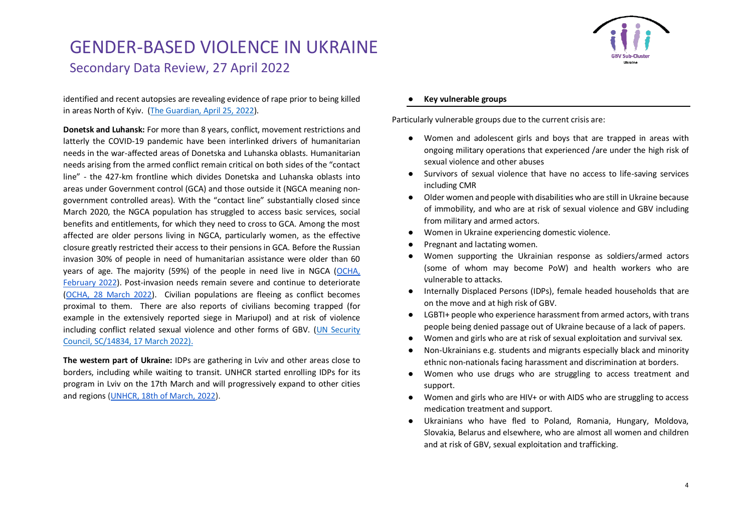

identified and recent autopsies are revealing evidence of rape prior to being killed in areas North of Kyiv. [\(The Guardian, April 25, 2022\)](https://www.theguardian.com/world/2022/apr/25/evidence-ukraine-women-raped-before-being-killed-say-doctors-russia-war).

**Donetsk and Luhansk:** For more than 8 years, conflict, movement restrictions and latterly the COVID-19 pandemic have been interlinked drivers of humanitarian needs in the war-affected areas of Donetska and Luhanska oblasts. Humanitarian needs arising from the armed conflict remain critical on both sides of the "contact line" - the 427-km frontline which divides Donetska and Luhanska oblasts into areas under Government control (GCA) and those outside it (NGCA meaning nongovernment controlled areas). With the "contact line" substantially closed since March 2020, the NGCA population has struggled to access basic services, social benefits and entitlements, for which they need to cross to GCA. Among the most affected are older persons living in NGCA, particularly women, as the effective closure greatly restricted their access to their pensions in GCA. Before the Russian invasion 30% of people in need of humanitarian assistance were older than 60 years of age. The majority (59%) of the people in need live in NGCA [\(OCHA,](https://reliefweb.int/report/ukraine/ukraine-humanitarian-needs-overview-2022-february-2022-enuk)  [February 2022\)](https://reliefweb.int/report/ukraine/ukraine-humanitarian-needs-overview-2022-february-2022-enuk). Post-invasion needs remain severe and continue to deteriorate [\(OCHA, 28 March 2022\)](https://reliefweb.int/report/ukraine/ukraine-humanitarian-impact-situation-report-1200-pm-eet-28-march-2022). Civilian populations are fleeing as conflict becomes proximal to them. There are also reports of civilians becoming trapped (for example in the extensively reported siege in Mariupol) and at risk of violence including conflict related sexual violence and other forms of GBV. [\(UN Security](https://www.un.org/press/en/2022/sc14834.doc.htm)  [Council, SC/14834, 17 March 2022\).](https://www.un.org/press/en/2022/sc14834.doc.htm)

**The western part of Ukraine:** IDPs are gathering in Lviv and other areas close to borders, including while waiting to transit. UNHCR started enrolling IDPs for its program in Lviv on the 17th March and will progressively expand to other cities and regions [\(UNHCR, 18th of March, 2022\)](https://www.unhcr.org/uk/news/briefing/2022/3/623453f14/unhcr-warns-rising-needs-ukraine-neighbouring-countries-calls-cessation.html).

#### **Key vulnerable groups**

Particularly vulnerable groups due to the current crisis are:

- Women and adolescent girls and boys that are trapped in areas with ongoing military operations that experienced /are under the high risk of sexual violence and other abuses
- Survivors of sexual violence that have no access to life-saving services including CMR
- Older women and people with disabilities who are still in Ukraine because of immobility, and who are at risk of sexual violence and GBV including from military and armed actors.
- Women in Ukraine experiencing domestic violence.
- Pregnant and lactating women.
- Women supporting the Ukrainian response as soldiers/armed actors (some of whom may become PoW) and health workers who are vulnerable to attacks.
- Internally Displaced Persons (IDPs), female headed households that are on the move and at high risk of GBV.
- LGBTI+ people who experience harassment from armed actors, with trans people being denied passage out of Ukraine because of a lack of papers.
- Women and girls who are at risk of sexual exploitation and survival sex.
- Non-Ukrainians e.g. students and migrants especially black and minority ethnic non-nationals facing harassment and discrimination at borders.
- Women who use drugs who are struggling to access treatment and support.
- Women and girls who are HIV+ or with AIDS who are struggling to access medication treatment and support.
- Ukrainians who have fled to Poland, Romania, Hungary, Moldova, Slovakia, Belarus and elsewhere, who are almost all women and children and at risk of GBV, sexual exploitation and trafficking.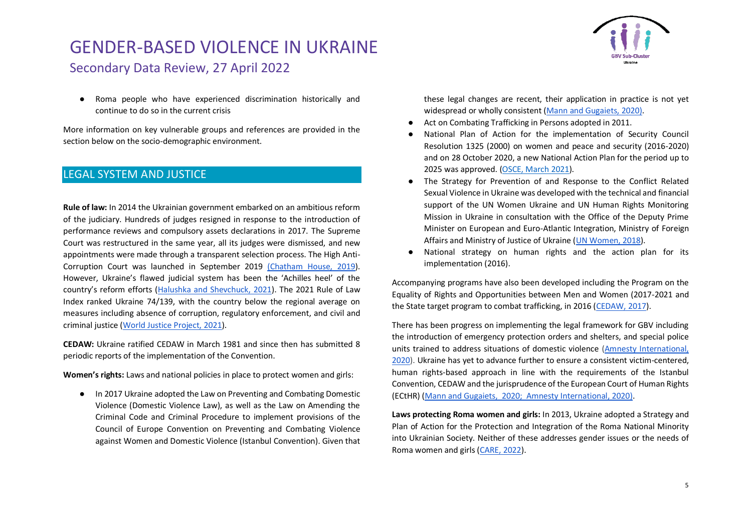● Roma people who have experienced discrimination historically and continue to do so in the current crisis

More information on key vulnerable groups and references are provided in the section below on the socio-demographic environment.

#### LEGAL SYSTEM AND JUSTICE

**Rule of law:** In 2014 the Ukrainian government embarked on an ambitious reform of the judiciary. Hundreds of judges resigned in response to the introduction of performance reviews and compulsory assets declarations in 2017. The Supreme Court was restructured in the same year, all its judges were dismissed, and new appointments were made through a transparent selection process. The High Anti-Corruption Court was launched in September 2019 [\(Chatham House, 2019\)](https://www.chathamhouse.org/events/all/research-event/how-strengthen-rule-law-ukraine). However, Ukraine's flawed judicial system has been the 'Achilles heel' of the country's reform efforts ([Halushka and Shevchuck, 2021\)](https://www.atlanticcouncil.org/blogs/ukrainealert/ukraine-takes-a-big-step-towards-judicial-reform/). The 2021 Rule of Law Index ranked Ukraine 74/139, with the country below the regional average on measures including absence of corruption, regulatory enforcement, and civil and criminal justice [\(World Justice Project, 2021\)](https://worldjusticeproject.org/rule-of-law-index/pdfs/2021-Ukraine.pdf).

**CEDAW:** Ukraine ratified CEDAW in March 1981 and since then has submitted 8 periodic reports of the implementation of the Convention.

**Women's rights:** Laws and national policies in place to protect women and girls:

● In 2017 Ukraine adopted the Law on Preventing and Combating Domestic Violence (Domestic Violence Law), as well as the Law on Amending the Criminal Code and Criminal Procedure to implement provisions of the Council of Europe Convention on Preventing and Combating Violence against Women and Domestic Violence (Istanbul Convention). Given that



- Act on Combating Trafficking in Persons adopted in 2011.
- National Plan of Action for the implementation of Security Council Resolution 1325 (2000) on women and peace and security (2016-2020) and on 28 October 2020, a new National Action Plan for the period up to 2025 was approved. [\(OSCE, March 2021\)](https://www.osce.org/files/f/documents/6/6/483203.pdf).
- The Strategy for Prevention of and Response to the Conflict Related Sexual Violence in Ukraine was developed with the technical and financial support of the UN Women Ukraine and UN Human Rights Monitoring Mission in Ukraine in consultation with the Office of the Deputy Prime Minister on European and Euro-Atlantic Integration, Ministry of Foreign Affairs and Ministry of Justice of Ukraine [\(UN Women, 2018\)](http://womenua.today/UWC-library/unwomen/48-CRSV-Strategy-EN.pdf).
- National strategy on human rights and the action plan for its implementation (2016).

Accompanying programs have also been developed including the Program on the Equality of Rights and Opportunities between Men and Women (2017-2021 and the State target program to combat trafficking, in 2016 [\(CEDAW, 2017\)](https://www.refworld.org/publisher,CEDAW,,UKR,596f4be26,0.html).

There has been progress on implementing the legal framework for GBV including the introduction of emergency protection orders and shelters, and special police units trained to address situations of domestic violence [\(Amnesty International,](https://www.amnesty.org/en/latest/news/2020/11/ukraine-epidemic-of-violence-against-women-in-conflicttorn-east/)  [2020\)](https://www.amnesty.org/en/latest/news/2020/11/ukraine-epidemic-of-violence-against-women-in-conflicttorn-east/). Ukraine has yet to advance further to ensure a consistent victim-centered, human rights-based approach in line with the requirements of the Istanbul Convention, CEDAW and the jurisprudence of the European Court of Human Rights (ECtHR) [\(Mann and Gugaiets, 2020;](https://rm.coe.int/eng-26-06-corrected-by-designer/16809eedf5) [Amnesty International, 2020](https://www.amnesty.org/en/latest/news/2020/11/ukraine-epidemic-of-violence-against-women-in-conflicttorn-east/)[\).](https://rm.coe.int/eng-26-06-corrected-by-designer/16809eedf5)

**Laws protecting Roma women and girls:** In 2013, Ukraine adopted a Strategy and Plan of Action for the Protection and Integration of the Roma National Minority into Ukrainian Society. Neither of these addresses gender issues or the needs of Roma women and girls [\(CARE, 2022\)](https://www.careevaluations.org/wp-content/uploads/Ukraine-Rapid-Gender-Analysis-Brief-Final.pdf).

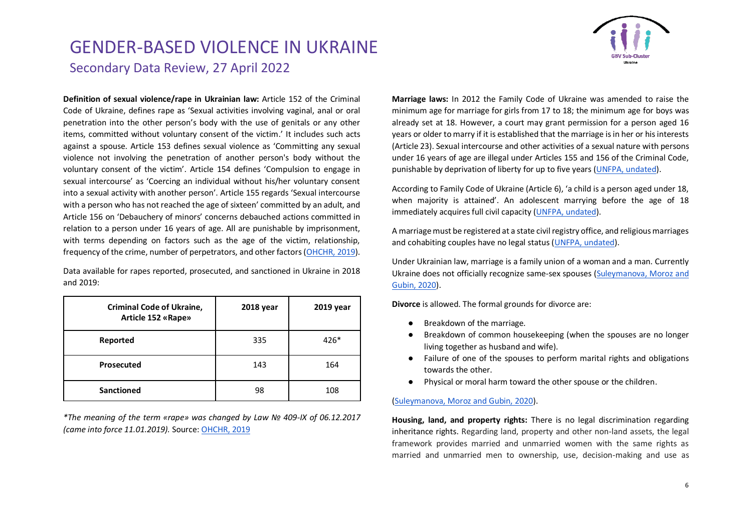

**Definition of sexual violence/rape in Ukrainian law:** Article 152 of the Criminal Code of Ukraine, defines rape as 'Sexual activities involving vaginal, anal or oral penetration into the other person's body with the use of genitals or any other items, committed without voluntary consent of the victim.' It includes such acts against a spouse. Article 153 defines sexual violence as 'Committing any sexual violence not involving the penetration of another person's body without the voluntary consent of the victim'. Article 154 defines 'Compulsion to engage in sexual intercourse' as 'Coercing an individual without his/her voluntary consent into a sexual activity with another person'. Article 155 regards 'Sexual intercourse with a person who has not reached the age of sixteen' committed by an adult, and Article 156 on 'Debauchery of minors' concerns debauched actions committed in relation to a person under 16 years of age. All are punishable by imprisonment, with terms depending on factors such as the age of the victim, relationship, frequency of the crime, number of perpetrators, and other factors [\(OHCHR, 2019\)](https://www.ohchr.org/Documents/Issues/Women/SR/RapeReport/governments/ukraine.docx).

Data available for rapes reported, prosecuted, and sanctioned in Ukraine in 2018 and 2019:

| <b>Criminal Code of Ukraine,</b><br><b>Article 152 «Rape»</b> | 2018 year | 2019 year |
|---------------------------------------------------------------|-----------|-----------|
| Reported                                                      | 335       | $426*$    |
| Prosecuted                                                    | 143       | 164       |
| <b>Sanctioned</b>                                             | 98        | 108       |

*\*The meaning of the term «rape» was changed by Law № 409-IX of 06.12.2017 (came into force 11.01.2019).* Source[: OHCHR, 2019](https://www.ohchr.org/Documents/Issues/Women/SR/RapeReport/governments/ukraine.docx)

**Marriage laws:** In 2012 the Family Code of Ukraine was amended to raise the minimum age for marriage for girls from 17 to 18; the minimum age for boys was already set at 18. However, a court may grant permission for a person aged 16 years or older to marry if it is established that the marriage is in her or his interests (Article 23). Sexual intercourse and other activities of a sexual nature with persons under 16 years of age are illegal under Articles 155 and 156 of the Criminal Code, punishable by deprivation of liberty for up to five years [\(UNFPA, undated\)](https://eeca.unfpa.org/sites/default/files/pub-pdf/unfpa%20ukraine%20summary.pdf).

According to Family Code of Ukraine (Article 6), 'a child is a person aged under 18, when majority is attained'. An adolescent marrying before the age of 18 immediately acquires full civil capacity (UNFPA, [undated\)](https://eeca.unfpa.org/sites/default/files/pub-pdf/unfpa%20ukraine%20summary.pdf).

A marriage must be registered at a state civil registry office, and religious marriages and cohabiting couples have no legal status [\(UNFPA, undated\)](https://eeca.unfpa.org/sites/default/files/pub-pdf/unfpa%20ukraine%20summary.pdf).

Under Ukrainian law, marriage is a family union of a woman and a man. Currently Ukraine does not officially recognize same-sex spouses [\(Suleymanova, Moroz and](https://uk.practicallaw.thomsonreuters.com/5-564-3065?transitionType=Default&contextData=(sc.Default)&firstPage=true#:~:text=Religious%20marriages%20are%20not%20forbidden,receive%20a%20state%20marriage%20certificate.)  [Gubin, 2020\)](https://uk.practicallaw.thomsonreuters.com/5-564-3065?transitionType=Default&contextData=(sc.Default)&firstPage=true#:~:text=Religious%20marriages%20are%20not%20forbidden,receive%20a%20state%20marriage%20certificate.).

**Divorce** is allowed. The formal grounds for divorce are:

- Breakdown of the marriage.
- Breakdown of common housekeeping (when the spouses are no longer living together as husband and wife).
- Failure of one of the spouses to perform marital rights and obligations towards the other.
- Physical or moral harm toward the other spouse or the children.

#### [\(Suleymanova, Moroz and Gubin, 2020\)](https://uk.practicallaw.thomsonreuters.com/5-564-3065?transitionType=Default&contextData=(sc.Default)&firstPage=true#:~:text=Religious%20marriages%20are%20not%20forbidden,receive%20a%20state%20marriage%20certificate.).

**Housing, land, and property rights:** There is no legal discrimination regarding inheritance rights. Regarding land, property and other non-land assets, the legal framework provides married and unmarried women with the same rights as married and unmarried men to ownership, use, decision-making and use as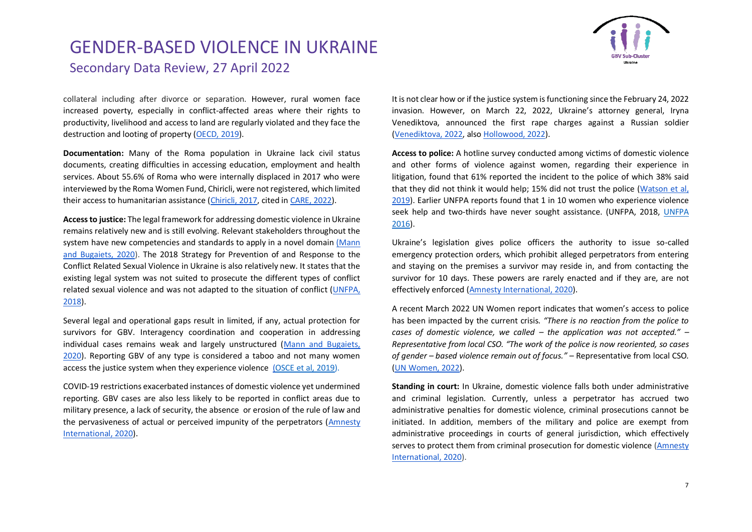

collateral including after divorce or separation. However, rural women face increased poverty, especially in conflict-affected areas where their rights to productivity, livelihood and access to land are regularly violated and they face the destruction and looting of property [\(OECD, 2019\)](https://www.genderindex.org/wp-content/uploads/files/datasheets/2019/UA.pdf).

**Documentation:** Many of the Roma population in Ukraine lack civil status documents, creating difficulties in accessing education, employment and health services. About 55.6% of Roma who were internally displaced in 2017 who were interviewed by the Roma Women Fund, Chiricli, were not registered, which limited their access to humanitarian assistance [\(Chiricli, 2017,](http://www.chirikli.com.ua/index.php/en/news/item/210-written-comments-on-the-situation-of-romani-women-in-ukraine-to-the-united-nations-committee-on-the-elimination-of-discrimination-against-women) cited in [CARE, 2022\)](https://www.careevaluations.org/wp-content/uploads/Ukraine-Rapid-Gender-Analysis-Brief-Final.pdf).

**Access to justice:** The legal framework for addressing domestic violence in Ukraine remains relatively new and is still evolving. Relevant stakeholders throughout the system have new competencies and standards to apply in a novel domain (Mann [and Bugaiets, 2020\)](https://rm.coe.int/eng-26-06-corrected-by-designer/16809eedf5). The 2018 Strategy for Prevention of and Response to the Conflict Related Sexual Violence in Ukraine is also relatively new. It states that the existing legal system was not suited to prosecute the different types of conflict related sexual violence and was not adapted to the situation of conflict [\(UNFPA,](http://womenua.today/UWC-library/unwomen/48-CRSV-Strategy-EN.pdf)  [2018\)](http://womenua.today/UWC-library/unwomen/48-CRSV-Strategy-EN.pdf).

Several legal and operational gaps result in limited, if any, actual protection for survivors for GBV. Interagency coordination and cooperation in addressing individual cases remains weak and largely unstructured [\(Mann and Bugaiets,](https://rm.coe.int/eng-26-06-corrected-by-designer/16809eedf5)  [2020\)](https://rm.coe.int/eng-26-06-corrected-by-designer/16809eedf5). Reporting GBV of any type is considered a taboo and not many women access the justice system when they experience violence [\(](https://reliefweb.int/sites/reliefweb.int/files/resources/2019-07-Exploring-access-to-health-care-services-in-Ukraine_ENG_Final.pdf)[OSCE et al, 2019\)](https://www.osce.org/files/f/documents/9/2/413237_0.pdf).

COVID-19 restrictions exacerbated instances of domestic violence yet undermined reporting. GBV cases are also less likely to be reported in conflict areas due to military presence, a lack of security, the absence or erosion of the rule of law and the pervasiveness of actual or perceived impunity of the perpetrators [\(Amnesty](https://www.amnesty.org/en/wp-content/uploads/2021/05/EUR5032552020ENGLISH.pdf)  [International, 2020\)](https://www.amnesty.org/en/wp-content/uploads/2021/05/EUR5032552020ENGLISH.pdf).

It is not clear how or if the justice system is functioning since the February 24, 2022 invasion. However, on March 22, 2022, Ukraine's attorney general, Iryna Venediktova, announced the first rape charges against a Russian soldier [\(Venediktova, 2022,](https://www.facebook.com/story.php?story_fbid=353647243439617&id=100063830310495&m_entstream_source=timeline) also [Hollowood, 2022\)](https://www.marieclaire.co.uk/news/sexual-violence-in-ukraine-war-771566).

**Access to police:** A hotline survey conducted among victims of domestic violence and other forms of violence against women, regarding their experience in litigation, found that 61% reported the incident to the police of which 38% said that they did not think it would help; 15% did not trust the police [\(Watson et al,](https://www.dcaf.ch/sites/default/files/publications/documents/2018%20Eng%20DCAF-LSU%20%28PRAVO%20%29%20Ukraine%20DV-VAW%20Monitoring%20Report.pdf)  [2019\)](https://www.dcaf.ch/sites/default/files/publications/documents/2018%20Eng%20DCAF-LSU%20%28PRAVO%20%29%20Ukraine%20DV-VAW%20Monitoring%20Report.pdf). Earlier UNFPA reports found that 1 in 10 women who experience violence seek help and two-thirds have never sought assistance. (UNFPA, 2018, [UNFPA](https://ukraine.unfpa.org/en/news/unfpa-emphasizes-importance-meeting-needs-women-girls-and-vulnerable-groups-conflict)  [2016\)](https://ukraine.unfpa.org/en/news/unfpa-emphasizes-importance-meeting-needs-women-girls-and-vulnerable-groups-conflict).

Ukraine's legislation gives police officers the authority to issue so-called emergency protection orders, which prohibit alleged perpetrators from entering and staying on the premises a survivor may reside in, and from contacting the survivor for 10 days. These powers are rarely enacted and if they are, are not effectively enforced [\(Amnesty International, 2020\)](https://www.amnesty.org/en/latest/news/2020/11/ukraine-epidemic-of-violence-against-women-in-conflicttorn-east/).

A recent March 2022 UN Women report indicates that women's access to police has been impacted by the current crisis. *"There is no reaction from the police to cases of domestic violence, we called – the application was not accepted." – Representative from local CSO. "The work of the police is now reoriented, so cases of gender – based violence remain out of focus."* – Representative from local CSO*.* [\(UN Women, 2022\)](https://reliefweb.int/sites/reliefweb.int/files/resources/03_2022_un_women_rapid_assessment_womens_csos_eng.pdf).

**Standing in court:** In Ukraine, domestic violence falls both under administrative and criminal legislation. Currently, unless a perpetrator has accrued two administrative penalties for domestic violence, criminal prosecutions cannot be initiated. In addition, members of the military and police are exempt from administrative proceedings in courts of general jurisdiction, which effectively serves to protect them from criminal prosecution for domestic violence [\(Amnesty](https://www.amnesty.org/en/latest/news/2020/11/ukraine-epidemic-of-violence-against-women-in-conflicttorn-east/)  [International, 2020\)](https://www.amnesty.org/en/latest/news/2020/11/ukraine-epidemic-of-violence-against-women-in-conflicttorn-east/).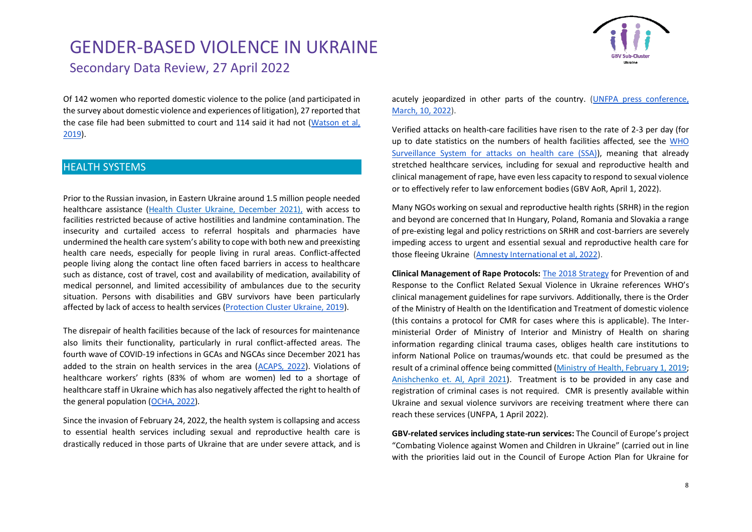

Of 142 women who reported domestic violence to the police (and participated in the survey about domestic violence and experiences of litigation), 27 reported that the case file had been submitted to court and 114 said it had not [\(Watson et al,](https://www.dcaf.ch/sites/default/files/publications/documents/2018%20Eng%20DCAF-LSU%20%28PRAVO%20%29%20Ukraine%20DV-VAW%20Monitoring%20Report.pdf)  [2019\)](https://www.dcaf.ch/sites/default/files/publications/documents/2018%20Eng%20DCAF-LSU%20%28PRAVO%20%29%20Ukraine%20DV-VAW%20Monitoring%20Report.pdf).

#### HEALTH SYSTEMS

Prior to the Russian invasion, in Eastern Ukraine around 1.5 million people needed healthcare assistance [\(Health Cluster Ukraine, December 2021\),](https://reliefweb.int/sites/reliefweb.int/files/resources/phsa-short-form-011221.pdf) with access to facilities restricted because of active hostilities and landmine contamination. The insecurity and curtailed access to referral hospitals and pharmacies have undermined the health care system's ability to cope with both new and preexisting health care needs, especially for people living in rural areas. Conflict-affected people living along the contact line often faced barriers in access to healthcare such as distance, cost of travel, cost and availability of medication, availability of medical personnel, and limited accessibility of ambulances due to the security situation. Persons with disabilities and GBV survivors have been particularly affected by lack of access to health services [\(Protection Cluster Ukraine, 2019\)](https://reliefweb.int/sites/reliefweb.int/files/resources/2019-07-Exploring-access-to-health-care-services-in-Ukraine_ENG_Final.pdf).

The disrepair of health facilities because of the lack of resources for maintenance also limits their functionality, particularly in rural conflict-affected areas. The fourth wave of COVID-19 infections in GCAs and NGCAs since December 2021 has added to the strain on health services in the area [\(ACAPS, 2022\)](https://reliefweb.int/report/ukraine/acaps-briefing-note-ukraine-current-humanitarian-situation-and-outlook-17-february). Violations of healthcare workers' rights (83% of whom are women) led to a shortage of healthcare staff in Ukraine which has also negatively affected the right to health of the general population [\(OCHA, 2022\)](https://reliefweb.int/report/ukraine/ukraine-humanitarian-needs-overview-2022-february-2022-enuk).

Since the invasion of February 24, 2022, the health system is collapsing and access to essential health services including sexual and reproductive health care is drastically reduced in those parts of Ukraine that are under severe attack, and is acutely jeopardized in other parts of the country. [\(UNFPA press conference,](https://unfoundation.zoom.us/rec/play/a3q8ejKbW6MnkCq0nfywrq-dCojIbwITK_9N1j80t8Aa-jK4Pj5alU6_HJpZzehfiJYDxrPCr_yfz0Ib.yEacRf7aUpMI8zU8?startTime=1646924428000&_x_zm_rtaid=NWOXbxaESS2ZRWjUo33UkQ.1646932695202.1a7287c3e837ad0970207dc56caabc70&_x_zm_rhtaid=432)  [March, 10, 2022\)](https://unfoundation.zoom.us/rec/play/a3q8ejKbW6MnkCq0nfywrq-dCojIbwITK_9N1j80t8Aa-jK4Pj5alU6_HJpZzehfiJYDxrPCr_yfz0Ib.yEacRf7aUpMI8zU8?startTime=1646924428000&_x_zm_rtaid=NWOXbxaESS2ZRWjUo33UkQ.1646932695202.1a7287c3e837ad0970207dc56caabc70&_x_zm_rhtaid=432).

Verified attacks on health-care facilities have risen to the rate of 2-3 per day (for up to date statistics on the numbers of health facilities affected, see the [WHO](https://extranet.who.int/ssa/Index.aspx)  [Surveillance System for attacks](https://extranet.who.int/ssa/Index.aspx) on health care (SSA)), meaning that already stretched healthcare services, including for sexual and reproductive health and clinical management of rape, have even less capacity to respond to sexual violence or to effectively refer to law enforcement bodies (GBV AoR, April 1, 2022).

Many NGOs working on sexual and reproductive health rights (SRHR) in the region and beyond are concerned that In Hungary, Poland, Romania and Slovakia a range of pre-existing legal and policy restrictions on SRHR and cost-barriers are severely impeding access to urgent and essential sexual and reproductive health care for those fleeing Ukraine [\(Amnesty International et al, 2022\)](https://www.amnesty.org/en/wp-content/uploads/2022/03/EUR0153632022ENGLISH.pdf).

**Clinical Management of Rape Protocols:** [The 2018 Strategy](https://eca.unwomen.org/en/digital-library/publications/2019/04/the-strategy-for-prevention-of-and-response-to-the-conflict-related-sexual-violence-in-ukraine) for Prevention of and Response to the Conflict Related Sexual Violence in Ukraine references WHO's clinical management guidelines for rape survivors. Additionally, there is the Order of the Ministry of Health on the Identification and Treatment of domestic violence (this contains a protocol for CMR for cases where this is applicable). The Interministerial Order of Ministry of Interior and Ministry of Health on sharing information regarding clinical trauma cases, obliges health care institutions to inform National Police on traumas/wounds etc. that could be presumed as the result of a criminal offence being committed [\(Ministry of Health, February 1, 2019;](https://en.moz.gov.ua/) [Anishchenko et. Al, April 2021\)](https://www.teikyomedicaljournal.com/public/volume/TMJ/44/02/the-legal-regulation-in-ukraine-victims-of-domestic-violence-medical-examination-and-providing-them-medical-assistance-610e19d9ebb21.pdf). Treatment is to be provided in any case and registration of criminal cases is not required. CMR is presently available within Ukraine and sexual violence survivors are receiving treatment where there can reach these services (UNFPA, 1 April 2022).

**GBV-related services including state-run services:** The Council of Europe's project "Combating Violence against Women and Children in Ukraine" (carried out in line with the priorities laid out in the Council of Europe Action Plan for Ukraine for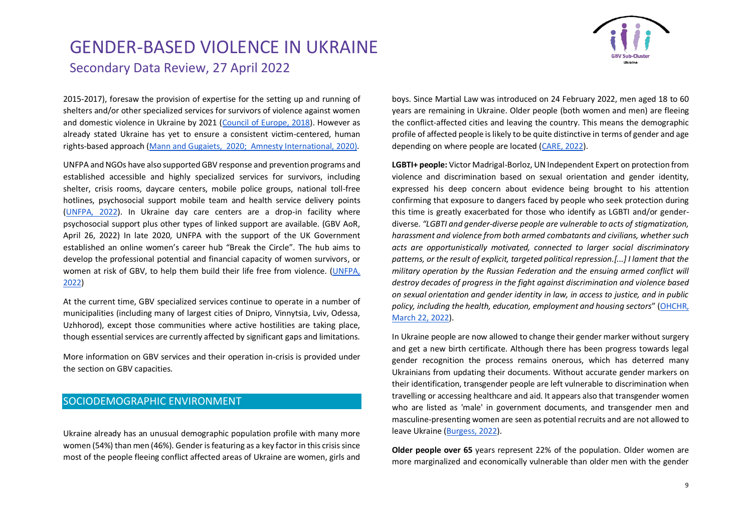

2015-2017), foresaw the provision of expertise for the setting up and running of shelters and/or other specialized services for survivors of violence against women and domestic violence in Ukraine by 2021 [\(Council of Europe, 2018\)](https://rm.coe.int/guidlines-shelters-en/1680a24a42). However as already stated Ukraine has yet to ensure a consistent victim-centered, human rights-based approach [\(Mann and Gugaiets, 2020;](https://rm.coe.int/eng-26-06-corrected-by-designer/16809eedf5) [Amnesty International, 2020](https://www.amnesty.org/en/latest/news/2020/11/ukraine-epidemic-of-violence-against-women-in-conflicttorn-east/)[\).](https://rm.coe.int/eng-26-06-corrected-by-designer/16809eedf5)

UNFPA and NGOs have also supported GBV response and prevention programs and established accessible and highly specialized services for survivors, including shelter, crisis rooms, daycare centers, mobile police groups, national toll-free hotlines, psychosocial support mobile team and health service delivery points [\(UNFPA, 2022\)](https://ukraine.unfpa.org/en/topics/gbv-response-and-prevention-programme). In Ukraine day care centers are a drop-in facility where psychosocial support plus other types of linked support are available. (GBV AoR, April 26, 2022) In late 2020, UNFPA with the support of the UK Government established an online women's career hub "Break the Circle". The hub aims to develop the professional potential and financial capacity of women survivors, or women at risk of GBV, to help them build their life free from violence. [\(UNFPA,](https://ukraine.unfpa.org/en/topics/gbv-response-and-prevention-programme)  [2022\)](https://ukraine.unfpa.org/en/topics/gbv-response-and-prevention-programme)

At the current time, GBV specialized services continue to operate in a number of municipalities (including many of largest cities of Dnipro, Vinnytsia, Lviv, Odessa, Uzhhorod), except those communities where active hostilities are taking place, though essential services are currently affected by significant gaps and limitations.

More information on GBV services and their operation in-crisis is provided under the section on GBV capacities.

### SOCIODEMOGRAPHIC ENVIRONMENT

Ukraine already has an unusual demographic population profile with many more women (54%) than men (46%). Gender is featuring as a key factor in this crisis since most of the people fleeing conflict affected areas of Ukraine are women, girls and boys. Since Martial Law was introduced on 24 February 2022, men aged 18 to 60 years are remaining in Ukraine. Older people (both women and men) are fleeing the conflict-affected cities and leaving the country. This means the demographic profile of affected people is likely to be quite distinctive in terms of gender and age depending on where people are located [\(CARE, 2022\)](https://www.careevaluations.org/wp-content/uploads/Ukraine-Rapid-Gender-Analysis-Brief-Final.pdf).

**LGBTI+ people:** Victor Madrigal-Borloz, UN Independent Expert on protection from violence and discrimination based on sexual orientation and gender identity, expressed his deep concern about evidence being brought to his attention confirming that exposure to dangers faced by people who seek protection during this time is greatly exacerbated for those who identify as LGBTI and/or genderdiverse. *"LGBTI and gender-diverse people are vulnerable to acts of stigmatization, harassment and violence from both armed combatants and civilians, whether such acts are opportunistically motivated, connected to larger social discriminatory patterns, or the result of explicit, targeted political repression.[...] I lament that the military operation by the Russian Federation and the ensuing armed conflict will destroy decades of progress in the fight against discrimination and violence based on sexual orientation and gender identity in law, in access to justice, and in public policy, including the health, education, employment and housing sectors*" ([OHCHR,](https://www.ohchr.org/en/press-releases/2022/03/ukraine-protection-lgbti-and-gender-diverse-refugees-remains-critical-un)  [March 22, 2022\)](https://www.ohchr.org/en/press-releases/2022/03/ukraine-protection-lgbti-and-gender-diverse-refugees-remains-critical-un).

In Ukraine people are now allowed to change their gender marker without surgery and get a new birth certificate. Although there has been progress towards legal gender recognition the process remains onerous, which has deterred many Ukrainians from updating their documents. Without accurate gender markers on their identification, transgender people are left vulnerable to discrimination when travelling or accessing healthcare and aid. It appears also that transgender women who are listed as 'male' in government documents, and transgender men and masculine-presenting women are seen as potential recruits and are not allowed to leave Ukraine [\(Burgess, 2022\)](https://www.abc.net.au/news/2022-03-28/lgbtq-rights-russia-invasion-kyiv-queer-activism/100932590).

**Older people over 65** years represent 22% of the population. Older women are more marginalized and economically vulnerable than older men with the gender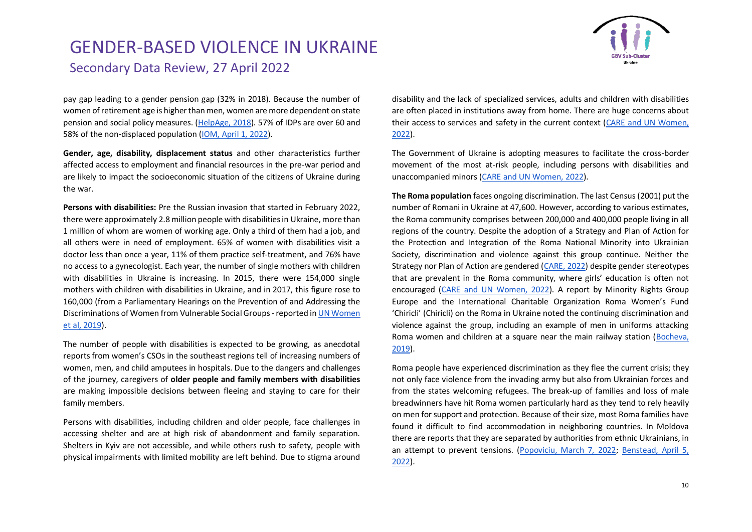

pay gap leading to a gender pension gap (32% in 2018). Because the number of women of retirement age is higher than men, women are more dependent on state pension and social policy measures. [\(HelpAge, 2018\)](https://reliefweb.int/sites/reliefweb.int/files/resources/helpage_baseline_report_usaid_echo_july_2018.pdf). 57% of IDPs are over 60 and 58% of the non-displaced population [\(IOM, April 1, 2022\)](https://displacement.iom.int/sites/default/files/public/reports/IOM_Ukraine%20Displacement%20Report_Round%202.pdf).

**Gender, age, disability, displacement status** and other characteristics further affected access to employment and financial resources in the pre-war period and are likely to impact the socioeconomic situation of the citizens of Ukraine during the war.

**Persons with disabilities:** Pre the Russian invasion that started in February 2022, there were approximately 2.8 million people with disabilities in Ukraine, more than 1 million of whom are women of working age. Only a third of them had a job, and all others were in need of employment. 65% of women with disabilities visit a doctor less than once a year, 11% of them practice self-treatment, and 76% have no access to a gynecologist. Each year, the number of single mothers with children with disabilities in Ukraine is increasing. In 2015, there were 154,000 single mothers with children with disabilities in Ukraine, and in 2017, this figure rose to 160,000 (from a Parliamentary Hearings on the Prevention of and Addressing the Discriminations of Women from Vulnerable Social Groups -reported i[n UN Women](https://eca.unwomen.org/sites/default/files/Field%20Office%20ECA/Attachments/Publications/2019/06/CEDAW%20CRPD%20Guide%20ENG_compressed.pdf)  [et al, 2019\)](https://eca.unwomen.org/sites/default/files/Field%20Office%20ECA/Attachments/Publications/2019/06/CEDAW%20CRPD%20Guide%20ENG_compressed.pdf).

The number of people with disabilities is expected to be growing, as anecdotal reports from women's CSOs in the southeast regions tell of increasing numbers of women, men, and child amputees in hospitals. Due to the dangers and challenges of the journey, caregivers of **older people and family members with disabilities**  are making impossible decisions between fleeing and staying to care for their family members.

Persons with disabilities, including children and older people, face challenges in accessing shelter and are at high risk of abandonment and family separation. Shelters in Kyiv are not accessible, and while others rush to safety, people with physical impairments with limited mobility are left behind. Due to stigma around disability and the lack of specialized services, adults and children with disabilities are often placed in institutions away from home. There are huge concerns about their access to services and safety in the current context [\(CARE and UN Women,](https://eca.unwomen.org/en/digital-library/publications/2022/03/rapid-gender-analysis-of-ukraine-secondary-data-review#view)  [2022\)](https://eca.unwomen.org/en/digital-library/publications/2022/03/rapid-gender-analysis-of-ukraine-secondary-data-review#view).

The Government of Ukraine is adopting measures to facilitate the cross-border movement of the most at-risk people, including persons with disabilities and unaccompanied minors [\(CARE and UN Women, 2022\)](https://eca.unwomen.org/en/digital-library/publications/2022/03/rapid-gender-analysis-of-ukraine-secondary-data-review#view).

**The Roma population** faces ongoing discrimination. The last Census (2001) put the number of Romani in Ukraine at 47,600. However, according to various estimates, the Roma community comprises between 200,000 and 400,000 people living in all regions of the country. Despite the adoption of a Strategy and Plan of Action for the Protection and Integration of the Roma National Minority into Ukrainian Society, discrimination and violence against this group continue. Neither the Strategy nor Plan of Action are gendered [\(CARE, 2022\)](https://www.careevaluations.org/wp-content/uploads/Ukraine-Rapid-Gender-Analysis-Brief-Final.pdf) despite gender stereotypes that are prevalent in the Roma community, where girls' education is often not encouraged [\(CARE and UN Women, 2022\)](https://eca.unwomen.org/en/digital-library/publications/2022/03/rapid-gender-analysis-of-ukraine-secondary-data-review#view). A report by Minority Rights Group Europe and the International Charitable Organization Roma Women's Fund 'Chiricli' (Chiricli) on the Roma in Ukraine noted the continuing discrimination and violence against the group, including an example of men in uniforms attacking Roma women and children at a square near the main railway station [\(Bocheva,](https://minorityrights.org/wp-content/uploads/2019/05/MRG_Rep_Ukraine_EN_Apr19.pdf)  [2019\)](https://minorityrights.org/wp-content/uploads/2019/05/MRG_Rep_Ukraine_EN_Apr19.pdf).

Roma people have experienced discrimination as they flee the current crisis; they not only face violence from the invading army but also from Ukrainian forces and from the states welcoming refugees. The break-up of families and loss of male breadwinners have hit Roma women particularly hard as they tend to rely heavily on men for support and protection. Because of their size, most Roma families have found it difficult to find accommodation in neighboring countries. In Moldova there are reports that they are separated by authorities from ethnic Ukrainians, in an attempt to prevent tensions. [\(Popoviciu, March 7, 2022;](https://www.aljazeera.com/news/2022/3/7/ukraines-roma-refugees-recount-discrimination-on-route-to-safety) [Benstead, April 5,](https://thewire.in/rights/how-russias-war-has-hit-ukraines-roma-people)  [2022\)](https://thewire.in/rights/how-russias-war-has-hit-ukraines-roma-people).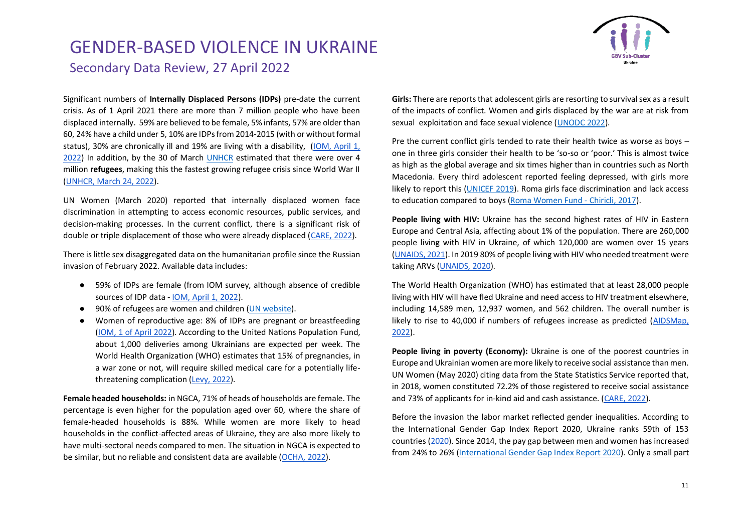

Significant numbers of **Internally Displaced Persons (IDPs)** pre-date the current crisis. As of 1 April 2021 there are more than 7 million people who have been displaced internally. 59% are believed to be female, 5% infants, 57% are older than 60, 24% have a child under 5, 10% are IDPs from 2014-2015 (with or without formal status), 30% are chronically ill and 19% are living with a disability, [\(IOM, April 1,](https://displacement.iom.int/sites/default/files/public/reports/IOM_Ukraine%20Displacement%20Report_Round%202.pdf)  [2022\)](https://displacement.iom.int/sites/default/files/public/reports/IOM_Ukraine%20Displacement%20Report_Round%202.pdf) In addition, by the 30 of March [UNHCR](https://data2.unhcr.org/en/situations/ukraine) estimated that there were over 4 million **refugees**, making this the fastest growing refugee crisis since World War II [\(UNHCR, March 24, 2022\)](https://data2.unhcr.org/en/documents/details/91589).

UN Women (March 2020) reported that internally displaced women face discrimination in attempting to access economic resources, public services, and decision-making processes. In the current conflict, there is a significant risk of double or triple displacement of those who were already displaced [\(CARE, 2022\)](https://www.careevaluations.org/wp-content/uploads/Ukraine-Rapid-Gender-Analysis-Brief-Final.pdf).

There is little sex disaggregated data on the humanitarian profile since the Russian invasion of February 2022. Available data includes:

- 59% of IDPs are female (from IOM survey, although absence of credible sources of IDP data - [IOM, April 1, 2022\)](https://displacement.iom.int/sites/default/files/public/reports/IOM_Ukraine%20Displacement%20Report_Round%202.pdf).
- 90% of refugees are women and children [\(UN website\)](https://www.unodc.org/unodc/press/releases/2022/March/targeted-by-traffickers---ukrainian-refugees-at-high-risk-of-exploitation.html).
- Women of reproductive age: 8% of IDPs are pregnant or breastfeeding [\(IOM, 1 of April 2022\)](https://displacement.iom.int/sites/default/files/public/reports/IOM_Ukraine%20Displacement%20Report_Round%202.pdf). According to the United Nations Population Fund, about 1,000 deliveries among Ukrainians are expected per week. The World Health Organization (WHO) estimates that 15% of pregnancies, in a war zone or not, will require skilled medical care for a potentially lifethreatening complication [\(Levy, 2022\)](https://www.wired.com/story/the-war-in-ukraine-is-a-reproductive-health-crisis-for-millions/).

**Female headed households:** in NGCA, 71% of heads of households are female. The percentage is even higher for the population aged over 60, where the share of female-headed households is 88%. While women are more likely to head households in the conflict-affected areas of Ukraine, they are also more likely to have multi-sectoral needs compared to men. The situation in NGCA is expected to be similar, but no reliable and consistent data are available [\(OCHA, 2022\)](https://reliefweb.int/report/ukraine/ukraine-humanitarian-needs-overview-2022-february-2022-enuk).

**Girls:** There are reports that adolescent girls are resorting to survival sex as a result of the impacts of conflict. Women and girls displaced by the war are at risk from sexual exploitation and face sexual violence [\(UNODC 2022\)](https://www.unodc.org/unodc/press/releases/2022/March/targeted-by-traffickers---ukrainian-refugees-at-high-risk-of-exploitation.html).

Pre the current conflict girls tended to rate their health twice as worse as boys – one in three girls consider their health to be 'so-so or 'poor.' This is almost twice as high as the global average and six times higher than in countries such as North Macedonia. Every third adolescent reported feeling depressed, with girls more likely to report this [\(UNICEF 2019\)](https://www.unicef.org/ukraine/en/press-releases/unicef-ukrainian-adolescents-neglect-their-health-eat-unhealthy-food-and-spend-their). Roma girls face discrimination and lack access to education compared to boys [\(Roma Women Fund -](http://www.chirikli.com.ua/index.php/en/news/item/210-written-comments-on-the-situation-of-romani-women-in-ukraine-to-the-united-nations-committee-on-the-elimination-of-discrimination-against-women) Chiricli, 2017).

**People living with HIV:** Ukraine has the second highest rates of HIV in Eastern Europe and Central Asia, affecting about 1% of the population. There are 260,000 people living with HIV in Ukraine, of which 120,000 are women over 15 years [\(UNAIDS, 2021\)](https://www.unaids.org/sites/default/files/media_asset/2021-global-aids-update_en.pdf). In 2019 80% of people living with HIV who needed treatment were taking ARVs [\(UNAIDS, 2020\)](https://www.unaids.org/sites/default/files/country/documents/UKR_2020_countryreport.pdf).

The World Health Organization (WHO) has estimated that at least 28,000 people living with HIV will have fled Ukraine and need access to HIV treatment elsewhere, including 14,589 men, 12,937 women, and 562 children. The overall number is likely to rise to 40,000 if numbers of refugees increase as predicted [\(AIDSMap,](https://www.aidsmap.com/news/mar-2022/ukrainians-displaced-russian-invasion-struggling-access-hiv-and-drug-dependency)  [2022\)](https://www.aidsmap.com/news/mar-2022/ukrainians-displaced-russian-invasion-struggling-access-hiv-and-drug-dependency).

**People living in poverty (Economy):** Ukraine is one of the poorest countries in Europe and Ukrainian women are more likely to receive social assistance than men. UN Women (May 2020) citing data from the State Statistics Service reported that, in 2018, women constituted 72.2% of those registered to receive social assistance and 73% of applicants for in-kind aid and cash assistance. [\(CARE, 2022\)](https://www.careevaluations.org/wp-content/uploads/Ukraine-Rapid-Gender-Analysis-Brief-Final.pdf).

Before the invasion the labor market reflected gender inequalities. According to the International Gender Gap Index Report 2020, Ukraine ranks 59th of 153 countries [\(2020\)](https://www3.weforum.org/docs/WEF_GGGR_2020.pdf). Since 2014, the pay gap between men and women has increased from 24% to 26% [\(International Gender Gap Index Report 2020\)](https://www3.weforum.org/docs/WEF_GGGR_2020.pdf). Only a small part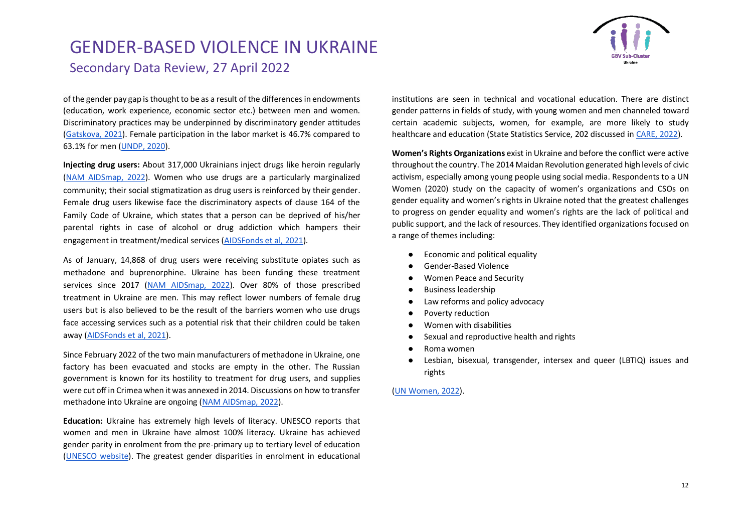

of the gender pay gap is thought to be as a result of the differences in endowments (education, work experience, economic sector etc.) between men and women. Discriminatory practices may be underpinned by discriminatory gender attitudes [\(Gatskova, 2021\)](https://link.springer.com/chapter/10.1007/978-981-15-9358-1_8). Female participation in the labor market is 46.7% compared to 63.1% for men [\(UNDP, 2020\)](https://hdr.undp.org/sites/default/files/Country-Profiles/UKR.pdf).

**Injecting drug users:** About 317,000 Ukrainians inject drugs like heroin regularly [\(NAM AIDSmap, 2022\)](https://www.aidsmap.com/news/mar-2022/ukrainians-displaced-russian-invasion-struggling-access-hiv-and-drug-dependency). Women who use drugs are a particularly marginalized community; their social stigmatization as drug users is reinforced by their gender. Female drug users likewise face the discriminatory aspects of clause 164 of the Family Code of Ukraine, which states that a person can be deprived of his/her parental rights in case of alcohol or drug addiction which hampers their engagement in treatment/medical services [\(AIDSFonds et al, 2021\)](https://frontlineaids.org/wp-content/uploads/2021/03/Annex-10g-PITCH-Story-of-Change-Ukraine.pdf).

As of January, 14,868 of drug users were receiving substitute opiates such as methadone and buprenorphine. Ukraine has been funding these treatment services since 2017 [\(NAM AIDSmap, 2022\)](https://www.aidsmap.com/news/mar-2022/ukrainians-displaced-russian-invasion-struggling-access-hiv-and-drug-dependency). Over 80% of those prescribed treatment in Ukraine are men. This may reflect lower numbers of female drug users but is also believed to be the result of the barriers women who use drugs face accessing services such as a potential risk that their children could be taken away [\(AIDSFonds et al, 2021\)](https://frontlineaids.org/wp-content/uploads/2021/03/Annex-10g-PITCH-Story-of-Change-Ukraine.pdf).

Since February 2022 of the two main manufacturers of methadone in Ukraine, one factory has been evacuated and stocks are empty in the other. The Russian government is known for its hostility to treatment for drug users, and supplies were cut off in Crimea when it was annexed in 2014. Discussions on how to transfer methadone into Ukraine are ongoing [\(NAM AIDSmap, 2022\)](https://www.aidsmap.com/news/mar-2022/ukrainians-displaced-russian-invasion-struggling-access-hiv-and-drug-dependency).

**Education:** Ukraine has extremely high levels of literacy. UNESCO reports that women and men in Ukraine have almost 100% literacy. Ukraine has achieved gender parity in enrolment from the pre-primary up to tertiary level of education [\(UNESCO website\)](http://uis.unesco.org/country/UA). The greatest gender disparities in enrolment in educational institutions are seen in technical and vocational education. There are distinct gender patterns in fields of study, with young women and men channeled toward certain academic subjects, women, for example, are more likely to study healthcare and education (State Statistics Service, 202 discussed in [CARE, 2022\)](https://www.careevaluations.org/wp-content/uploads/Ukraine-Rapid-Gender-Analysis-Brief-Final.pdf).

**Women's Rights Organizations** exist in Ukraine and before the conflict were active throughout the country. The 2014 Maidan Revolution generated high levels of civic activism, especially among young people using social media. Respondents to a UN Women (2020) study on the capacity of women's organizations and CSOs on gender equality and women's rights in Ukraine noted that the greatest challenges to progress on gender equality and women's rights are the lack of political and public support, and the lack of resources. They identified organizations focused on a range of themes including:

- Economic and political equality
- Gender-Based Violence
- Women Peace and Security
- Business leadership
- Law reforms and policy advocacy
- Poverty reduction
- Women with disabilities
- Sexual and reproductive health and rights
- Roma women
- Lesbian, bisexual, transgender, intersex and queer (LBTIQ) issues and rights

#### [\(UN Women, 2022\)](https://reliefweb.int/sites/reliefweb.int/files/resources/03_2022_un_women_rapid_assessment_womens_csos_eng.pdf).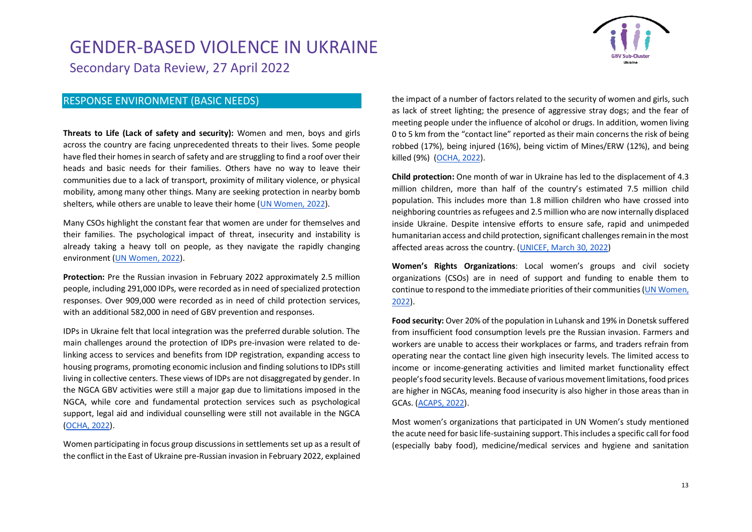

#### RESPONSE ENVIRONMENT (BASIC NEEDS)

**Threats to Life (Lack of safety and security):** Women and men, boys and girls across the country are facing unprecedented threats to their lives. Some people have fled their homes in search of safety and are struggling to find a roof over their heads and basic needs for their families. Others have no way to leave their communities due to a lack of transport, proximity of military violence, or physical mobility, among many other things. Many are seeking protection in nearby bomb shelters, while others are unable to leave their home [\(UN Women, 2022\)](https://reliefweb.int/sites/reliefweb.int/files/resources/03_2022_un_women_rapid_assessment_womens_csos_eng.pdf).

Many CSOs highlight the constant fear that women are under for themselves and their families. The psychological impact of threat, insecurity and instability is already taking a heavy toll on people, as they navigate the rapidly changing environment [\(UN Women, 2022\)](https://reliefweb.int/sites/reliefweb.int/files/resources/03_2022_un_women_rapid_assessment_womens_csos_eng.pdf).

**Protection:** Pre the Russian invasion in February 2022 approximately 2.5 million people, including 291,000 IDPs, were recorded as in need of specialized protection responses. Over 909,000 were recorded as in need of child protection services, with an additional 582,000 in need of GBV prevention and responses.

IDPs in Ukraine felt that local integration was the preferred durable solution. The main challenges around the protection of IDPs pre-invasion were related to delinking access to services and benefits from IDP registration, expanding access to housing programs, promoting economic inclusion and finding solutions to IDPs still living in collective centers. These views of IDPs are not disaggregated by gender. In the NGCA GBV activities were still a major gap due to limitations imposed in the NGCA, while core and fundamental protection services such as psychological support, legal aid and individual counselling were still not available in the NGCA [\(OCHA, 2022\)](https://reliefweb.int/report/ukraine/ukraine-humanitarian-needs-overview-2022-february-2022-enuk).

Women participating in focus group discussions in settlements set up as a result of the conflict in the East of Ukraine pre-Russian invasion in February 2022, explained the impact of a number of factors related to the security of women and girls, such as lack of street lighting; the presence of aggressive stray dogs; and the fear of meeting people under the influence of alcohol or drugs. In addition, women living 0 to 5 km from the "contact line" reported as their main concerns the risk of being robbed (17%), being injured (16%), being victim of Mines/ERW (12%), and being killed (9%) [\(OCHA, 2022\)](https://reliefweb.int/report/ukraine/ukraine-humanitarian-needs-overview-2022-february-2022-enuk).

**Child protection:** One month of war in Ukraine has led to the displacement of 4.3 million children, more than half of the country's estimated 7.5 million child population. This includes more than 1.8 million children who have crossed into neighboring countries as refugees and 2.5 million who are now internally displaced inside Ukraine. Despite intensive efforts to ensure safe, rapid and unimpeded humanitarian access and child protection, significant challenges remain in the most affected areas across the country. [\(UNICEF, March 30, 2022\)](https://www.unicef.org/cuba/en/node/1761)

**Women's Rights Organizations**: Local women's groups and civil society organizations (CSOs) are in need of support and funding to enable them to continue to respond to the immediate priorities of their communities [\(UN Women,](https://reliefweb.int/sites/reliefweb.int/files/resources/03_2022_un_women_rapid_assessment_womens_csos_eng.pdf)  [2022\)](https://reliefweb.int/sites/reliefweb.int/files/resources/03_2022_un_women_rapid_assessment_womens_csos_eng.pdf).

**Food security:** Over 20% of the population in Luhansk and 19% in Donetsk suffered from insufficient food consumption levels pre the Russian invasion. Farmers and workers are unable to access their workplaces or farms, and traders refrain from operating near the contact line given high insecurity levels. The limited access to income or income-generating activities and limited market functionality effect people's food security levels. Because of various movement limitations, food prices are higher in NGCAs, meaning food insecurity is also higher in those areas than in GCAs. [\(ACAPS, 2022\)](https://reliefweb.int/report/ukraine/acaps-briefing-note-ukraine-current-humanitarian-situation-and-outlook-17-february).

Most women's organizations that participated in UN Women's study mentioned the acute need for basic life-sustaining support. This includes a specific call for food (especially baby food), medicine/medical services and hygiene and sanitation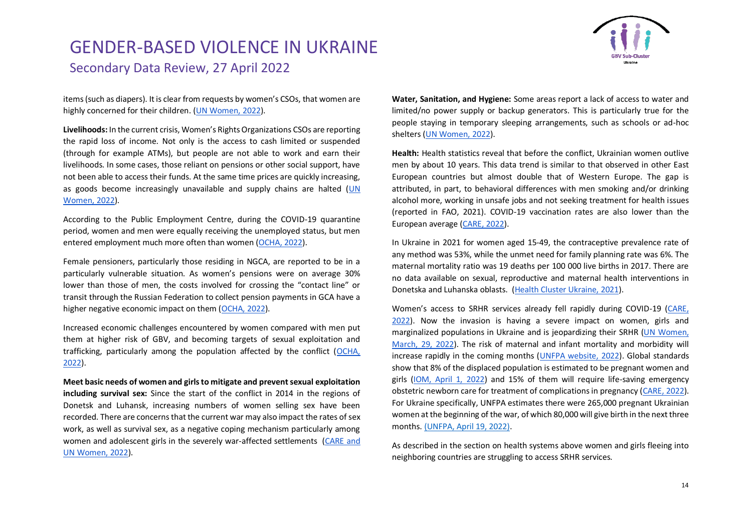items (such as diapers). It is clear from requests by women's CSOs, that women are highly concerned for their children. [\(UN Women, 2022\)](https://reliefweb.int/sites/reliefweb.int/files/resources/03_2022_un_women_rapid_assessment_womens_csos_eng.pdf).

**Livelihoods:** In the current crisis, Women's Rights Organizations CSOs are reporting the rapid loss of income. Not only is the access to cash limited or suspended (through for example ATMs), but people are not able to work and earn their livelihoods. In some cases, those reliant on pensions or other social support, have not been able to access their funds. At the same time prices are quickly increasing, as goods become increasingly unavailable and supply chains are halted [\(UN](https://reliefweb.int/sites/reliefweb.int/files/resources/03_2022_un_women_rapid_assessment_womens_csos_eng.pdf)  [Women, 2022\)](https://reliefweb.int/sites/reliefweb.int/files/resources/03_2022_un_women_rapid_assessment_womens_csos_eng.pdf).

According to the Public Employment Centre, during the COVID-19 quarantine period, women and men were equally receiving the unemployed status, but men entered employment much more often than women [\(OCHA, 2022\)](https://reliefweb.int/report/ukraine/ukraine-humanitarian-needs-overview-2022-february-2022-enuk).

Female pensioners, particularly those residing in NGCA, are reported to be in a particularly vulnerable situation. As women's pensions were on average 30% lower than those of men, the costs involved for crossing the "contact line" or transit through the Russian Federation to collect pension payments in GCA have a higher negative economic impact on them [\(OCHA, 2022\)](https://reliefweb.int/report/ukraine/ukraine-humanitarian-needs-overview-2022-february-2022-enuk).

Increased economic challenges encountered by women compared with men put them at higher risk of GBV, and becoming targets of sexual exploitation and trafficking, particularly among the population affected by the conflict [\(OCHA,](https://reliefweb.int/report/ukraine/ukraine-humanitarian-needs-overview-2022-february-2022-enuk)  [2022\)](https://reliefweb.int/report/ukraine/ukraine-humanitarian-needs-overview-2022-february-2022-enuk).

**Meet basic needs of women and girls to mitigate and prevent sexual exploitation including survival sex:** Since the start of the conflict in 2014 in the regions of Donetsk and Luhansk, increasing numbers of women selling sex have been recorded. There are concerns that the current war may also impact the rates of sex work, as well as survival sex, as a negative coping mechanism particularly among women and adolescent girls in the severely war-affected settlements [\(CARE and](https://eca.unwomen.org/en/digital-library/publications/2022/03/rapid-gender-analysis-of-ukraine-secondary-data-review#view)  [UN Women, 2022\)](https://eca.unwomen.org/en/digital-library/publications/2022/03/rapid-gender-analysis-of-ukraine-secondary-data-review#view).

**Water, Sanitation, and Hygiene:** Some areas report a lack of access to water and limited/no power supply or backup generators. This is particularly true for the people staying in temporary sleeping arrangements, such as schools or ad-hoc shelters [\(UN Women, 2022\)](https://reliefweb.int/sites/reliefweb.int/files/resources/03_2022_un_women_rapid_assessment_womens_csos_eng.pdf).

**Health:** Health statistics reveal that before the conflict, Ukrainian women outlive men by about 10 years. This data trend is similar to that observed in other East European countries but almost double that of Western Europe. The gap is attributed, in part, to behavioral differences with men smoking and/or drinking alcohol more, working in unsafe jobs and not seeking treatment for health issues (reported in FAO, 2021). COVID-19 vaccination rates are also lower than the European average [\(CARE, 2022\)](https://www.careevaluations.org/wp-content/uploads/Ukraine-Rapid-Gender-Analysis-Brief-Final.pdf).

In Ukraine in 2021 for women aged 15-49, the contraceptive prevalence rate of any method was 53%, while the unmet need for family planning rate was 6%. The maternal mortality ratio was 19 deaths per 100 000 live births in 2017. There are no data available on sexual, reproductive and maternal health interventions in Donetska and Luhanska oblasts. [\(Health Cluster Ukraine, 2021\)](https://reliefweb.int/sites/reliefweb.int/files/resources/phsa-short-form-011221.pdf).

Women's access to SRHR services already fell rapidly during COVID-19 [\(CARE,](https://www.careevaluations.org/wp-content/uploads/Ukraine-Rapid-Gender-Analysis-Brief-Final.pdf)  [2022\)](https://www.careevaluations.org/wp-content/uploads/Ukraine-Rapid-Gender-Analysis-Brief-Final.pdf). Now the invasion is having a severe impact on women, girls and marginalized populations in Ukraine and is jeopardizing their SRHR [\(UN Women,](https://www.unwomen.org/en/news-stories/in-focus/2022/03/in-focus-war-in-ukraine-is-a-crisis-for-women-and-girls)  [March, 29, 2022\)](https://www.unwomen.org/en/news-stories/in-focus/2022/03/in-focus-war-in-ukraine-is-a-crisis-for-women-and-girls). The risk of maternal and infant mortality and morbidity will increase rapidly in the coming months [\(UNFPA website,](https://www.unfpa.org/ukraine-war) 2022). Global standards show that 8% of the displaced population is estimated to be pregnant women and girls [\(IOM, April 1, 2022\)](https://displacement.iom.int/sites/default/files/public/reports/IOM_Ukraine%20Displacement%20Report_Round%202.pdf) and 15% of them will require life-saving emergency obstetric newborn care for treatment of complications in pregnancy [\(CARE, 2022\)](https://www.careevaluations.org/wp-content/uploads/Ukraine-Rapid-Gender-Analysis-Brief-Final.pdf). For Ukraine specifically, UNFPA estimates there were 265,000 pregnant Ukrainian women at the beginning of the war, of which 80,000 will give birth in the next three months. [\(UNFPA, April 19, 2022\).](https://www.unfpa.org/sites/default/files/resource-pdf/Updated%20Appeal%20April_%20for%20PUBLIC%20donors_0.pdf)

As described in the section on health systems above women and girls fleeing into neighboring countries are struggling to access SRHR services.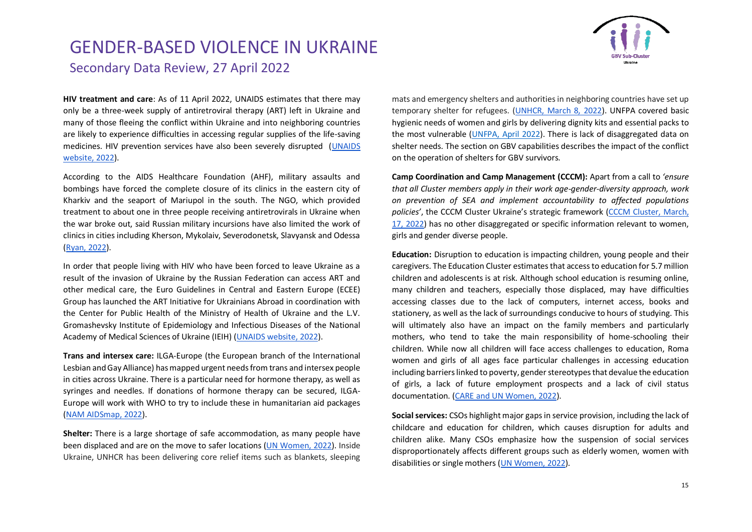

**HIV treatment and care**: As of 11 April 2022, UNAIDS estimates that there may only be a three-week supply of antiretroviral therapy (ART) left in Ukraine and many of those fleeing the conflict within Ukraine and into neighboring countries are likely to experience difficulties in accessing regular supplies of the life-saving medicines. HIV prevention services have also been severely disrupted [\(UNAIDS](https://www.unaids.org/en/War-Ukraine-special) [website,](https://www.unaids.org/en/War-Ukraine-special) 2022).

According to the AIDS Healthcare Foundation (AHF), military assaults and bombings have forced the complete closure of its clinics in the eastern city of Kharkiv and the seaport of Mariupol in the south. The NGO, which provided treatment to about one in three people receiving antiretrovirals in Ukraine when the war broke out, said Russian military incursions have also limited the work of clinics in cities including Kherson, Mykolaiv, Severodonetsk, Slavyansk and Odessa [\(Ryan, 2022\)](https://news.trust.org/item/20220327135541-mwf6c/).

In order that people living with HIV who have been forced to leave Ukraine as a result of the invasion of Ukraine by the Russian Federation can access ART and other medical care, the Euro Guidelines in Central and Eastern Europe (ECEE) Group has launched the ART Initiative for Ukrainians Abroad in coordination with the Center for Public Health of the Ministry of Health of Ukraine and the L.V. Gromashevsky Institute of Epidemiology and Infectious Diseases of the National Academy of Medical Sciences of Ukraine (IEIH) [\(UNAIDS website,](https://www.unaids.org/en/War-Ukraine-special/antiretroviral-therapy-for-ukrainians-abroad) 2022).

**Trans and intersex care:** ILGA-Europe (the European branch of the International Lesbian and Gay Alliance) has mapped urgent needs from trans and intersex people in cities across Ukraine. There is a particular need for hormone therapy, as well as syringes and needles. If donations of hormone therapy can be secured, ILGA-Europe will work with WHO to try to include these in humanitarian aid packages [\(NAM AIDSmap, 2022\)](https://www.aidsmap.com/news/mar-2022/ukrainians-displaced-russian-invasion-struggling-access-hiv-and-drug-dependency).

**Shelter:** There is a large shortage of safe accommodation, as many people have been displaced and are on the move to safer locations [\(UN Women, 2022\)](https://reliefweb.int/sites/reliefweb.int/files/resources/03_2022_un_women_rapid_assessment_womens_csos_eng.pdf). Inside Ukraine, UNHCR has been delivering core relief items such as blankets, sleeping mats and emergency shelters and authorities in neighboring countries have set up temporary shelter for refugees. [\(UNHCR, March 8, 2022\)](https://reliefweb.int/report/ukraine/ukraine-situation-unhcr-supplementary-appeal-2022). UNFPA covered basic hygienic needs of women and girls by delivering dignity kits and essential packs to the most vulnerable [\(UNFPA, April 2022\)](https://ukraine.unfpa.org/en/news/lifesaving-health-supplies-arrive-ukraine-support-safe-delivery-pregnant-women-0). There is lack of disaggregated data on shelter needs. The section on GBV capabilities describes the impact of the conflict on the operation of shelters for GBV survivors.

**Camp Coordination and Camp Management (CCCM):** Apart from a call to *'ensure that all Cluster members apply in their work age-gender-diversity approach, work on prevention of SEA and implement accountability to affected populations policies'*, the CCCM Cluster Ukraine's strategic framework [\(CCCM Cluster, March,](https://cccmcluster.org/sites/default/files/2022-03/CCCM%20Cluster%20Ukraine%20-%20Strategic%20framework.pdf)  [17, 2022\)](https://cccmcluster.org/sites/default/files/2022-03/CCCM%20Cluster%20Ukraine%20-%20Strategic%20framework.pdf) has no other disaggregated or specific information relevant to women, girls and gender diverse people.

**Education:** Disruption to education is impacting children, young people and their caregivers. The Education Cluster estimates that access to education for 5.7 million children and adolescents is at risk. Although school education is resuming online, many children and teachers, especially those displaced, may have difficulties accessing classes due to the lack of computers, internet access, books and stationery, as well as the lack of surroundings conducive to hours of studying. This will ultimately also have an impact on the family members and particularly mothers, who tend to take the main responsibility of home-schooling their children. While now all children will face access challenges to education, Roma women and girls of all ages face particular challenges in accessing education including barriers linked to poverty, gender stereotypes that devalue the education of girls, a lack of future employment prospects and a lack of civil status documentation. [\(CARE and UN Women, 2022\)](https://eca.unwomen.org/en/digital-library/publications/2022/03/rapid-gender-analysis-of-ukraine-secondary-data-review#view).

**Social services:** CSOs highlight major gaps in service provision, including the lack of childcare and education for children, which causes disruption for adults and children alike. Many CSOs emphasize how the suspension of social services disproportionately affects different groups such as elderly women, women with disabilities or single mothers [\(UN Women, 2022\)](https://reliefweb.int/sites/reliefweb.int/files/resources/03_2022_un_women_rapid_assessment_womens_csos_eng.pdf).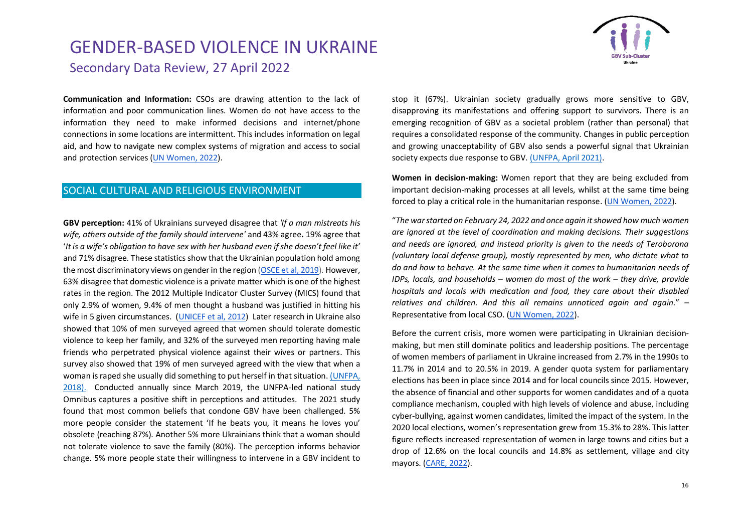

**Communication and Information:** CSOs are drawing attention to the lack of information and poor communication lines. Women do not have access to the information they need to make informed decisions and internet/phone connections in some locations are intermittent. This includes information on legal aid, and how to navigate new complex systems of migration and access to social and protection services [\(UN Women, 2022\)](https://reliefweb.int/sites/reliefweb.int/files/resources/03_2022_un_women_rapid_assessment_womens_csos_eng.pdf).

#### SOCIAL CULTURAL AND RELIGIOUS ENVIRONMENT

**GBV perception:** 41% of Ukrainians surveyed disagree that *'If a man mistreats his wife, others outside of the family should intervene'* and 43% agree**.** 19% agree that '*It is a wife's obligation to have sex with her husband even if she doesn't feel like it'* and 71% disagree. These statistics show that the Ukrainian population hold among the most discriminatory views on gender in the region [\(OSCE et al, 2019\)](https://www.osce.org/files/f/documents/9/2/413237_0.pdf). However, 63% disagree that domestic violence is a private matter which is one of the highest rates in the region. The 2012 Multiple Indicator Cluster Survey (MICS) found that only 2.9% of women, 9.4% of men thought a husband was justified in hitting his wife in 5 given circumstances. [\(UNICEF et al, 2012\)](https://microdata.worldbank.org/index.php/catalog/2348) Later research in Ukraine also showed that 10% of men surveyed agreed that women should tolerate domestic violence to keep her family, and 32% of the surveyed men reporting having male friends who perpetrated physical violence against their wives or partners. This survey also showed that 19% of men surveyed agreed with the view that when a woman is raped she usually did something to put herself in that situation[. \(UNFPA,](https://ukraine.unfpa.org/sites/default/files/pub-pdf/Masculinity%20Today%20Men%27s_Report.pdf)  [2018\).](https://ukraine.unfpa.org/sites/default/files/pub-pdf/Masculinity%20Today%20Men%27s_Report.pdf) Conducted annually since March 2019, the UNFPA-led national study Omnibus captures a positive shift in perceptions and attitudes. The 2021 study found that most common beliefs that condone GBV have been challenged. 5% more people consider the statement 'If he beats you, it means he loves you' obsolete (reaching 87%). Another 5% more Ukrainians think that a woman should not tolerate violence to save the family (80%). The perception informs behavior change. 5% more people state their willingness to intervene in a GBV incident to

stop it (67%). Ukrainian society gradually grows more sensitive to GBV, disapproving its manifestations and offering support to survivors. There is an emerging recognition of GBV as a societal problem (rather than personal) that requires a consolidated response of the community. Changes in public perception and growing unacceptability of GBV also sends a powerful signal that Ukrainian society expects due response to GBV. [\(UNFPA, April 2021\).](https://ukraine.unfpa.org/sites/default/files/pub-pdf/gbv_programme_newsletter_april_2021_eng.pdf)

**Women in decision-making:** Women report that they are being excluded from important decision-making processes at all levels, whilst at the same time being forced to play a critical role in the humanitarian response. [\(UN Women, 2022\)](https://reliefweb.int/sites/reliefweb.int/files/resources/03_2022_un_women_rapid_assessment_womens_csos_eng.pdf).

"*The war started on February 24, 2022 and once again it showed how much women are ignored at the level of coordination and making decisions. Their suggestions and needs are ignored, and instead priority is given to the needs of Teroborona (voluntary local defense group), mostly represented by men, who dictate what to do and how to behave. At the same time when it comes to humanitarian needs of IDPs, locals, and households – women do most of the work – they drive, provide hospitals and locals with medication and food, they care about their disabled relatives and children. And this all remains unnoticed again and again.*" – Representative from local CSO. [\(UN Women, 2022\)](https://reliefweb.int/sites/reliefweb.int/files/resources/03_2022_un_women_rapid_assessment_womens_csos_eng.pdf).

Before the current crisis, more women were participating in Ukrainian decisionmaking, but men still dominate politics and leadership positions. The percentage of women members of parliament in Ukraine increased from 2.7% in the 1990s to 11.7% in 2014 and to 20.5% in 2019. A gender quota system for parliamentary elections has been in place since 2014 and for local councils since 2015. However, the absence of financial and other supports for women candidates and of a quota compliance mechanism, coupled with high levels of violence and abuse, including cyber-bullying, against women candidates, limited the impact of the system. In the 2020 local elections, women's representation grew from 15.3% to 28%. This latter figure reflects increased representation of women in large towns and cities but a drop of 12.6% on the local councils and 14.8% as settlement, village and city mayors. [\(CARE, 2022\)](https://www.careevaluations.org/wp-content/uploads/Ukraine-Rapid-Gender-Analysis-Brief-Final.pdf).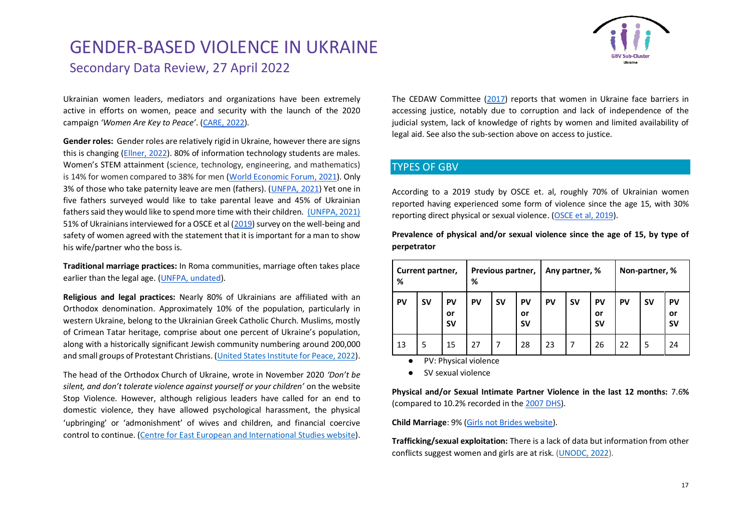

Ukrainian women leaders, mediators and organizations have been extremely active in efforts on women, peace and security with the launch of the 2020 campaign *'Women Are Key to Peace'*. [\(CARE, 2022\)](https://www.careevaluations.org/wp-content/uploads/Ukraine-Rapid-Gender-Analysis-Brief-Final.pdf).

**Gender roles:** Gender roles are relatively rigid in Ukraine, however there are signs this is changing [\(Ellner, 2022\)](https://www.kcl.ac.uk/gender-stereotypes-in-the-media-are-ukrainian-women-really-only-helpless-victims). 80% of information technology students are males. Women's STEM attainment (science, technology, engineering, and mathematics) is 14% for women compared to 38% for men [\(World Economic Forum, 2021\)](https://www3.weforum.org/docs/WEF_GGGR_2021.pdf). Only 3% of those who take paternity leave are men (fathers). [\(UNFPA, 2021\)](https://reliefweb.int/report/ukraine/ukraine-fight-gender-inequality-education-work-and-home-enuk) Yet one in five fathers surveyed would like to take parental leave and 45% of Ukrainian fathers said they would like to spend more time with their children. [\(UNFPA, 2021\)](https://ukraine.unfpa.org/sites/default/files/pub-pdf/newsletter_3_eng_1.pdf) 51% of Ukrainians interviewed for a OSCE et al [\(2019\)](https://eeca.unfpa.org/en/publications/well-being-and-safety-women?_ga=2.8081201.220554671.1646062129-58387694.1642436549) survey on the well-being and safety of women agreed with the statement that it is important for a man to show his wife/partner who the boss is.

**Traditional marriage practices:** In Roma communities, marriage often takes place earlier than the legal age. [\(UNFPA, undated\)](https://eeca.unfpa.org/sites/default/files/pub-pdf/unfpa%20ukraine%20summary.pdf).

**Religious and legal practices:** Nearly 80% of Ukrainians are affiliated with an Orthodox denomination. Approximately 10% of the population, particularly in western Ukraine, belong to the Ukrainian Greek Catholic Church. Muslims, mostly of Crimean Tatar heritage, comprise about one percent of Ukraine's population, along with a historically significant Jewish community numbering around 200,000 and small groups of Protestant Christians. [\(United States Institute for Peace, 2022\)](https://www.usip.org/publications/2022/03/role-religion-russias-war-ukraine#:~:text=It%20also%20ignores%20the%20fact,the%20Ukrainian%20Greek%20Catholic%20Church.).

The head of the Orthodox Church of Ukraine, wrote in November 2020 *'Don't be silent, and don't tolerate violence against yourself or your children'* on the website Stop Violence. However, although religious leaders have called for an end to domestic violence, they have allowed psychological harassment, the physical 'upbringing' or 'admonishment' of wives and children, and financial coercive control to continue. [\(Centre for East European and International Studies website\)](https://www.zois-berlin.de/en/publications/domestic-violence-in-ukraine-what-role-for-religious-leaders). The CEDAW Committee [\(2017\)](https://digitallibrary.un.org/record/1286284/files/CEDAW_C_UKR_CO_8-EN.pdf) reports that women in Ukraine face barriers in accessing justice, notably due to corruption and lack of independence of the judicial system, lack of knowledge of rights by women and limited availability of legal aid. See also the sub-section above on access to justice.

#### TYPES OF GBV

According to a 2019 study by OSCE et. al, roughly 70% of Ukrainian women reported having experienced some form of violence since the age 15, with 30% reporting direct physical or sexual violence. [\(OSCE et al, 2019\)](https://eeca.unfpa.org/en/publications/well-being-and-safety-women?_ga=2.8081201.220554671.1646062129-58387694.1642436549).

**Prevalence of physical and/or sexual violence since the age of 15, by type of perpetrator**

| Current partner,<br>% |           | Previous partner,<br>% |           | Any partner, % |                       | Non-partner, % |           |                       |    |           |                       |
|-----------------------|-----------|------------------------|-----------|----------------|-----------------------|----------------|-----------|-----------------------|----|-----------|-----------------------|
| PV                    | <b>SV</b> | PV<br>or<br><b>SV</b>  | <b>PV</b> | <b>SV</b>      | PV<br>or<br><b>SV</b> | PV             | <b>SV</b> | PV<br>or<br><b>SV</b> | PV | <b>SV</b> | PV<br>or<br><b>SV</b> |
| 13                    | 5         | 15                     | 27        |                | 28                    | 23             | 7         | 26                    | 22 | 5         | 24                    |

PV: Physical violence

● SV sexual violence

**Physical and/or Sexual Intimate Partner Violence in the last 12 months:** 7.6**%** (compared to 10.2% recorded in th[e 2007 DHS\)](https://data.humdata.org/dataset/dhs-data-for-ukraine).

**Child Marriage**: 9% [\(Girls not Brides website\)](https://www.girlsnotbrides.org/learning-resources/child-marriage-atlas/regions-and-countries/ukraine/).

**Trafficking/sexual exploitation:** There is a lack of data but information from other conflicts suggest women and girls are at risk. [\(UNODC, 2022\)](https://www.unodc.org/unodc/press/releases/2022/March/targeted-by-traffickers---ukrainian-refugees-at-high-risk-of-exploitation.html).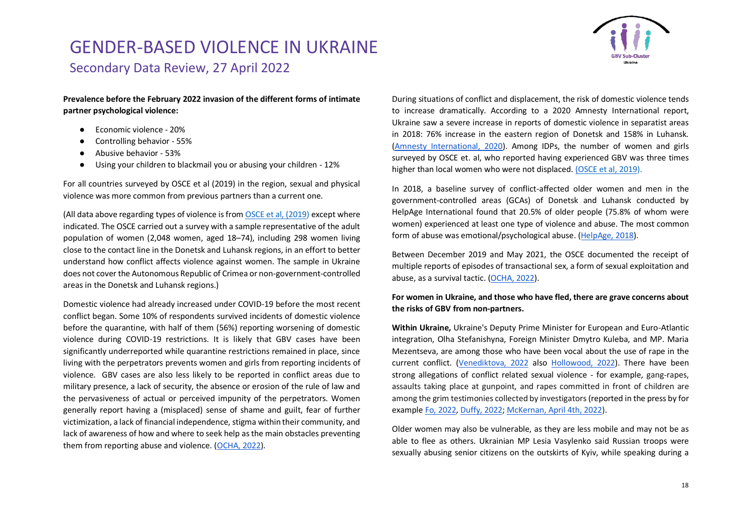

**Prevalence before the February 2022 invasion of the different forms of intimate partner psychological violence:**

- Economic violence 20%
- Controlling behavior 55%
- Abusive behavior 53%
- Using your children to blackmail you or abusing your children 12%

For all countries surveyed by OSCE et al (2019) in the region, sexual and physical violence was more common from previous partners than a current one.

(All data above regarding types of violence is fro[m OSCE et al, \(2019\)](https://www.osce.org/files/f/documents/9/2/413237_0.pdf) except where indicated. The OSCE carried out a survey with a sample representative of the adult population of women (2,048 women, aged 18–74), including 298 women living close to the contact line in the Donetsk and Luhansk regions, in an effort to better understand how conflict affects violence against women. The sample in Ukraine does not cover the Autonomous Republic of Crimea or non-government-controlled areas in the Donetsk and Luhansk regions.)

Domestic violence had already increased under COVID-19 before the most recent conflict began. Some 10% of respondents survived incidents of domestic violence before the quarantine, with half of them (56%) reporting worsening of domestic violence during COVID-19 restrictions. It is likely that GBV cases have been significantly underreported while quarantine restrictions remained in place, since living with the perpetrators prevents women and girls from reporting incidents of violence. GBV cases are also less likely to be reported in conflict areas due to military presence, a lack of security, the absence or erosion of the rule of law and the pervasiveness of actual or perceived impunity of the perpetrators. Women generally report having a (misplaced) sense of shame and guilt, fear of further victimization, a lack of financial independence, stigma within their community, and lack of awareness of how and where to seek help as the main obstacles preventing them from reporting abuse and violence. [\(OCHA, 2022\)](https://reliefweb.int/report/ukraine/ukraine-humanitarian-needs-overview-2022-february-2022-enuk).

During situations of conflict and displacement, the risk of domestic violence tends to increase dramatically. According to a 2020 Amnesty International report, Ukraine saw a severe increase in reports of domestic violence in separatist areas in 2018: 76% increase in the eastern region of Donetsk and 158% in Luhansk. [\(Amnesty International, 2020\)](https://www.amnesty.org/en/latest/news/2020/11/ukraine-epidemic-of-violence-against-women-in-conflicttorn-east/). Among IDPs, the number of women and girls surveyed by OSCE et. al, who reported having experienced GBV was three times higher than local women who were not displaced. [\(](https://reliefweb.int/sites/reliefweb.int/files/resources/2019-07-Exploring-access-to-health-care-services-in-Ukraine_ENG_Final.pdf)[OSCE et al, 2019\)](https://www.osce.org/files/f/documents/9/2/413237_0.pdf).

In 2018, a baseline survey of conflict-affected older women and men in the government-controlled areas (GCAs) of Donetsk and Luhansk conducted by HelpAge International found that 20.5% of older people (75.8% of whom were women) experienced at least one type of violence and abuse. The most common form of abuse was emotional/psychological abuse. [\(HelpAge, 2018\)](https://reliefweb.int/sites/reliefweb.int/files/resources/helpage_baseline_report_usaid_echo_july_2018.pdf).

Between December 2019 and May 2021, the OSCE documented the receipt of multiple reports of episodes of transactional sex, a form of sexual exploitation and abuse, as a survival tactic. [\(OCHA, 2022\)](https://reliefweb.int/report/ukraine/ukraine-humanitarian-needs-overview-2022-february-2022-enuk).

#### **For women in Ukraine, and those who have fled, there are grave concerns about the risks of GBV from non-partners.**

**Within Ukraine,** Ukraine's Deputy Prime Minister for European and Euro-Atlantic integration, Olha Stefanishyna, Foreign Minister Dmytro Kuleba, and MP. Maria Mezentseva, are among those who have been vocal about the use of rape in the current conflict. [\(Venediktova, 2022](https://www.facebook.com/story.php?story_fbid=353647243439617&id=100063830310495&m_entstream_source=timeline) also [Hollowood, 2022\)](https://www.marieclaire.co.uk/news/sexual-violence-in-ukraine-war-771566). There have been strong allegations of conflict related sexual violence - for example, gang-rapes, assaults taking place at gunpoint, and rapes committed in front of children are among the grim testimonies collected by investigators (reported in the press by for exampl[e Fo, 2022, Duffy, 2022;](https://www.independent.co.uk/news/world/europe/russia-soldiers-raping-women-ukraine-b2045120.html) [McKernan, April 4th, 2022\)](https://www.theguardian.com/world/2022/apr/03/all-wars-are-like-this-used-as-a-weapon-of-war-in-ukraine).

Older women may also be vulnerable, as they are less mobile and may not be as able to flee as others. Ukrainian MP Lesia Vasylenko said Russian troops were sexually abusing senior citizens on the outskirts of Kyiv, while speaking during a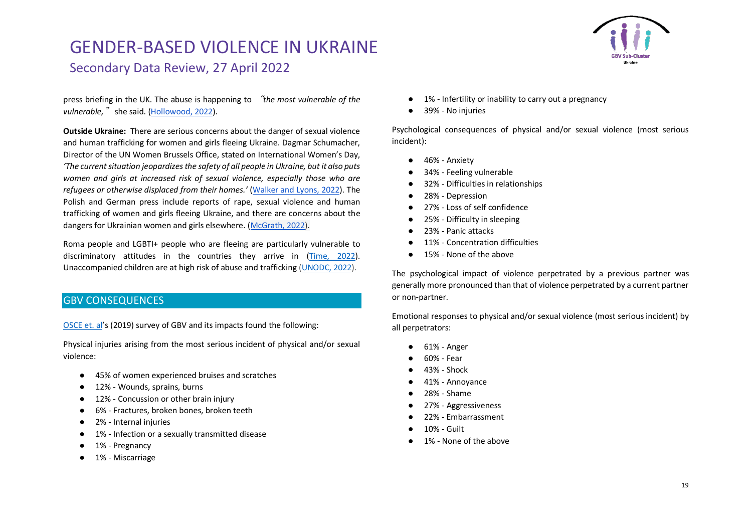

press briefing in the UK. The abuse is happening to "*the most vulnerable of the vulnerable,*" she said. [\(Hollowood, 2022\)](https://www.marieclaire.co.uk/news/sexual-violence-in-ukraine-war-771566).

**Outside Ukraine:** There are serious concerns about the danger of sexual violence and human trafficking for women and girls fleeing Ukraine. Dagmar Schumacher, Director of the UN Women Brussels Office, stated on International Women's Day, *'The current situation jeopardizes the safety of all people in Ukraine, but it also puts women and girls at increased risk of sexual violence, especially those who are refugees or otherwise displaced from their homes.'* [\(Walker and Lyons, 2022\)](https://www.brusselstimes.com/209977/affected-first-and-worst-ukrainian-women-and-girls-at-increased-risk-of-sexual-violence). The Polish and German press include reports of rape, sexual violence and human trafficking of women and girls fleeing Ukraine, and there are concerns about the dangers for Ukrainian women and girls elsewhere. [\(McGrath, 2022\)](https://apnews.com/article/russia-ukraine-immigration-moldova-poland-europe-17c62dbeb4c88e04e7253865bc20c9f0).

Roma people and LGBTI+ people who are fleeing are particularly vulnerable to discriminatory attitudes in the countries they arrive in [\(Time, 2022\)](https://time.com/6156672/lgbtq-ukraine-refugees-russia/). Unaccompanied children are at high risk of abuse and trafficking [\(UNODC, 2022\)](https://www.unodc.org/unodc/press/releases/2022/March/targeted-by-traffickers---ukrainian-refugees-at-high-risk-of-exploitation.html).

#### GBV CONSEQUENCES

[OSCE et.](https://www.osce.org/files/f/documents/9/2/413237_0.pdf) al's (2019) survey of GBV and its impacts found the following:

Physical injuries arising from the most serious incident of physical and/or sexual violence:

- 45% of women experienced bruises and scratches
- 12% Wounds, sprains, burns
- 12% Concussion or other brain injury
- 6% Fractures, broken bones, broken teeth
- 2% Internal injuries
- 1% Infection or a sexually transmitted disease
- 1% Pregnancy
- 1% Miscarriage
- 1% Infertility or inability to carry out a pregnancy
- 39% No injuries

Psychological consequences of physical and/or sexual violence (most serious incident):

- 46% Anxiety
- 34% Feeling vulnerable
- 32% Difficulties in relationships
- 28% Depression
- 27% Loss of self confidence
- 25% Difficulty in sleeping
- 23% Panic attacks
- 11% Concentration difficulties
- 15% None of the above

The psychological impact of violence perpetrated by a previous partner was generally more pronounced than that of violence perpetrated by a current partner or non-partner.

Emotional responses to physical and/or sexual violence (most serious incident) by all perpetrators:

- 61% Anger
- 60% Fear
- 43% Shock
- 41% Annoyance
- 28% Shame
- 27% Aggressiveness
- 22% Embarrassment
- 10% Guilt
- 1% None of the above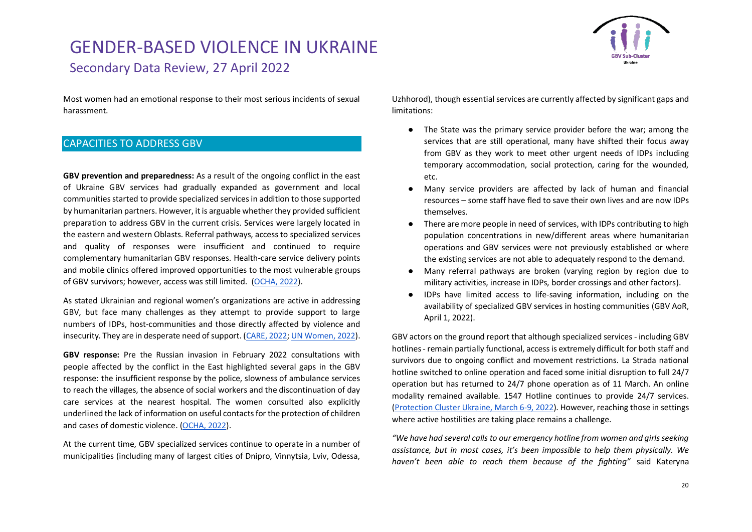

Most women had an emotional response to their most serious incidents of sexual harassment.

#### CAPACITIES TO ADDRESS GBV

**GBV prevention and preparedness:** As a result of the ongoing conflict in the east of Ukraine GBV services had gradually expanded as government and local communities started to provide specialized services in addition to those supported by humanitarian partners. However, it is arguable whether they provided sufficient preparation to address GBV in the current crisis. Services were largely located in the eastern and western Oblasts. Referral pathways, access to specialized services and quality of responses were insufficient and continued to require complementary humanitarian GBV responses. Health-care service delivery points and mobile clinics offered improved opportunities to the most vulnerable groups of GBV survivors; however, access was still limited. [\(OCHA, 2022\)](https://reliefweb.int/report/ukraine/ukraine-humanitarian-needs-overview-2022-february-2022-enuk).

As stated Ukrainian and regional women's organizations are active in addressing GBV, but face many challenges as they attempt to provide support to large numbers of IDPs, host-communities and those directly affected by violence and insecurity. They are in desperate need of support. [\(CARE, 2022;](https://www.careevaluations.org/wp-content/uploads/Ukraine-Rapid-Gender-Analysis-Brief-Final.pdf) [UN Women, 2022\)](https://reliefweb.int/sites/reliefweb.int/files/resources/03_2022_un_women_rapid_assessment_womens_csos_eng.pdf).

**GBV response:** Pre the Russian invasion in February 2022 consultations with people affected by the conflict in the East highlighted several gaps in the GBV response: the insufficient response by the police, slowness of ambulance services to reach the villages, the absence of social workers and the discontinuation of day care services at the nearest hospital. The women consulted also explicitly underlined the lack of information on useful contacts for the protection of children and cases of domestic violence. [\(OCHA, 2022\)](https://www.humanitarianresponse.info/sites/www.humanitarianresponse.info/files/documents/files/ukraine_2022_hno_eng_2022-02-10.pdf).

At the current time, GBV specialized services continue to operate in a number of municipalities (including many of largest cities of Dnipro, Vinnytsia, Lviv, Odessa, Uzhhorod), though essential services are currently affected by significant gaps and limitations:

- The State was the primary service provider before the war; among the services that are still operational, many have shifted their focus away from GBV as they work to meet other urgent needs of IDPs including temporary accommodation, social protection, caring for the wounded, etc.
- Many service providers are affected by lack of human and financial resources – some staff have fled to save their own lives and are now IDPs themselves.
- There are more people in need of services, with IDPs contributing to high population concentrations in new/different areas where humanitarian operations and GBV services were not previously established or where the existing services are not able to adequately respond to the demand.
- Many referral pathways are broken (varying region by region due to military activities, increase in IDPs, border crossings and other factors).
- IDPs have limited access to life-saving information, including on the availability of specialized GBV services in hosting communities (GBV AoR, April 1, 2022).

GBV actors on the ground report that although specialized services - including GBV hotlines - remain partially functional, access is extremely difficult for both staff and survivors due to ongoing conflict and movement restrictions. La Strada national hotline switched to online operation and faced some initial disruption to full 24/7 operation but has returned to 24/7 phone operation as of 11 March. An online modality remained available. 1547 Hotline continues to provide 24/7 services. [\(Protection Cluster Ukraine, March 6-9, 2022\)](https://www.humanitarianresponse.info/sites/www.humanitarianresponse.info/files/documents/files/2022_protection_cluster_snapshot_6-9_march_eng.pdf). However, reaching those in settings where active hostilities are taking place remains a challenge.

*"We have had several calls to our emergency hotline from women and girls seeking assistance, but in most cases, it's been impossible to help them physically. We haven't been able to reach them because of the fighting"* said Kateryna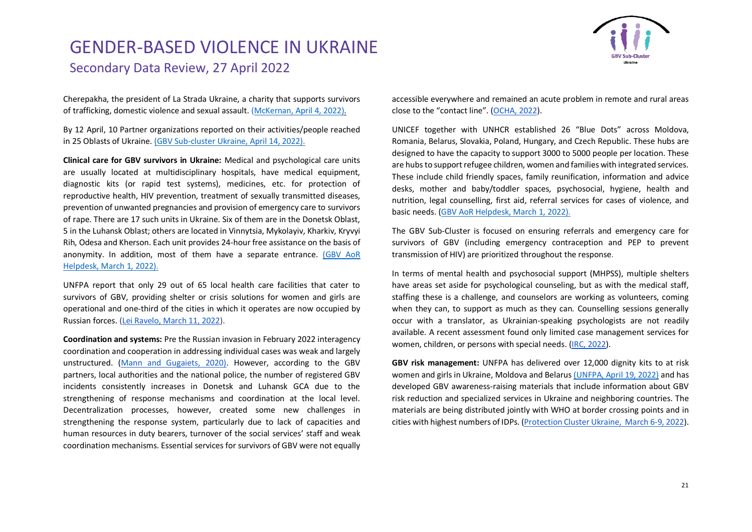

Cherepakha, the president of [La Strada Ukraine,](https://www.lastradainternational.org/about-us-la-strada-international/) a charity that supports survivors of trafficking, domestic violence and sexual assault. [\(McKernan, April 4, 2022\)](https://www.theguardian.com/world/2022/apr/03/all-wars-are-like-this-used-as-a-weapon-of-war-in-ukraine).

By 12 April, 10 Partner organizations reported on their activities/people reached in 25 Oblasts of Ukraine. [\(GBV Sub-cluster Ukraine, April 14, 2022\).](https://www.humanitarianresponse.info/en/operations/ukraine/document/ukraine-gbv-sub-clusters-meeting-%E2%80%9314-apr-2022-eng)

**Clinical care for GBV survivors in Ukraine:** Medical and psychological care units are usually located at multidisciplinary hospitals, have medical equipment, diagnostic kits (or rapid test systems), medicines, etc. for protection of reproductive health, HIV prevention, treatment of sexually transmitted diseases, prevention of unwanted pregnancies and provision of emergency care to survivors of rape. There are 17 such units in Ukraine. Six of them are in the Donetsk Oblast, 5 in the Luhansk Oblast; others are located in Vinnytsia, Mykolayiv, Kharkiv, Kryvyi Rih, Odesa and Kherson. Each unit provides 24-hour free assistance on the basis of anonymity. In addition, most of them have a separate entrance. [\(GBV AoR](https://www.sddirect.org.uk/media/2467/gbv-aor-helpdesk-armed-conflict-in-ukraine-gbv-resources-23032022.pdf)  [Helpdesk, March](https://www.sddirect.org.uk/media/2467/gbv-aor-helpdesk-armed-conflict-in-ukraine-gbv-resources-23032022.pdf) 1, 2022).

UNFPA report that only 29 out of 65 local health care facilities that cater to survivors of GBV, providing shelter or crisis solutions for women and girls are operational and one-third of the cities in which it operates are now occupied by Russian forces. [\(Lei Ravelo, March 11, 2022\)](https://www.devex.com/news/only-45-of-unfpa-established-facilities-in-ukraine-are-operational-102829).

**Coordination and systems:** Pre the Russian invasion in February 2022 interagency coordination and cooperation in addressing individual cases was weak and largely unstructured. [\(Mann and Gugaiets, 2020\).](https://rm.coe.int/eng-26-06-corrected-by-designer/16809eedf5) However, according to the GBV partners, local authorities and the national police, the number of registered GBV incidents consistently increases in Donetsk and Luhansk GCA due to the strengthening of response mechanisms and coordination at the local level. Decentralization processes, however, created some new challenges in strengthening the response system, particularly due to lack of capacities and human resources in duty bearers, turnover of the social services' staff and weak coordination mechanisms. Essential services for survivors of GBV were not equally

accessible everywhere and remained an acute problem in remote and rural areas close to the "contact line". [\(OCHA, 2022\)](https://reliefweb.int/report/ukraine/ukraine-humanitarian-needs-overview-2022-february-2022-enuk).

UNICEF together with UNHCR established 26 "Blue Dots" across Moldova, Romania, Belarus, Slovakia, Poland, Hungary, and Czech Republic. These hubs are designed to have the capacity to support 3000 to 5000 people per location. These are hubs to support refugee children, women and families with integrated services. These include child friendly spaces, family reunification, information and advice desks, mother and baby/toddler spaces, psychosocial, hygiene, health and nutrition, legal counselling, first aid, referral services for cases of violence, and basic needs. [\(GBV AoR Helpdesk, March](https://www.sddirect.org.uk/media/2467/gbv-aor-helpdesk-armed-conflict-in-ukraine-gbv-resources-23032022.pdf) 1, 2022).

The GBV Sub-Cluster is focused on ensuring referrals and emergency care for survivors of GBV (including emergency contraception and PEP to prevent transmission of HIV) are prioritized throughout the response.

In terms of mental health and psychosocial support (MHPSS), multiple shelters have areas set aside for psychological counseling, but as with the medical staff, staffing these is a challenge, and counselors are working as volunteers, coming when they can, to support as much as they can. Counselling sessions generally occur with a translator, as Ukrainian-speaking psychologists are not readily available. A recent assessment found only limited case management services for women, children, or persons with special needs. [\(IRC, 2022\)](https://reliefweb.int/sites/reliefweb.int/files/resources/IRC%20Assessment%20-%20Ukrainian%20Refugees%20in%20Poland_FINAL.pdf).

**GBV risk management:** UNFPA has delivered over 12,000 dignity kits to at risk women and girls in Ukraine, Moldova and Belaru[s \(UNFPA, April 19, 2022\)](https://www.unfpa.org/sites/default/files/news-pdf/Snapshot%20-%20UNFPA%20response%20in%20Ukraine.pdf) and has developed GBV awareness-raising materials that include information about GBV risk reduction and specialized services in Ukraine and neighboring countries. The materials are being distributed jointly with WHO at border crossing points and in cities with highest numbers of IDPs. [\(Protection Cluster Ukraine, March 6-9, 2022\)](https://www.humanitarianresponse.info/sites/www.humanitarianresponse.info/files/documents/files/2022_protection_cluster_snapshot_6-9_march_eng.pdf).